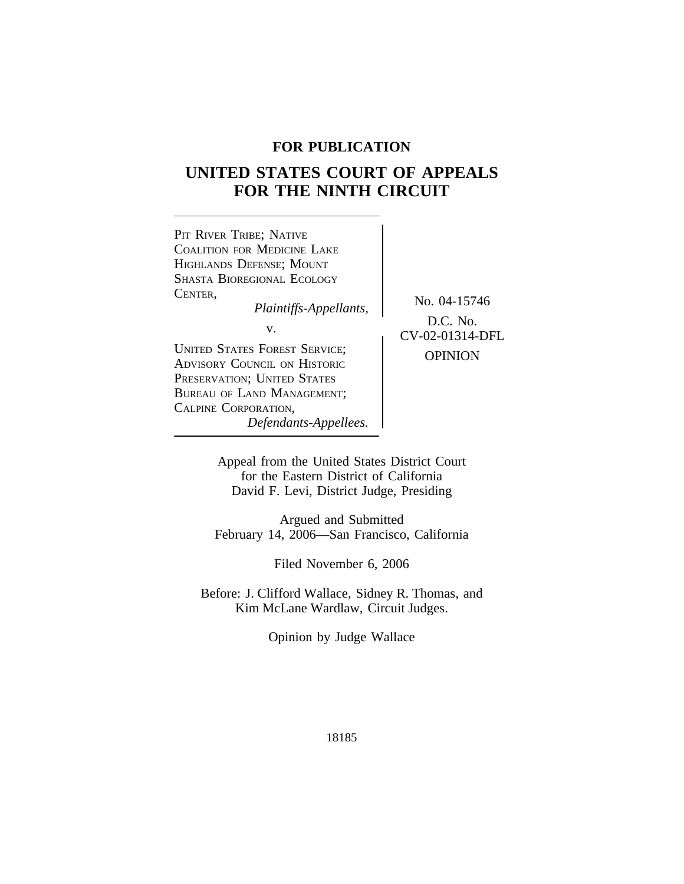# **FOR PUBLICATION**

# **UNITED STATES COURT OF APPEALS FOR THE NINTH CIRCUIT**



for the Eastern District of California David F. Levi, District Judge, Presiding

Argued and Submitted February 14, 2006—San Francisco, California

Filed November 6, 2006

Before: J. Clifford Wallace, Sidney R. Thomas, and Kim McLane Wardlaw, Circuit Judges.

Opinion by Judge Wallace

18185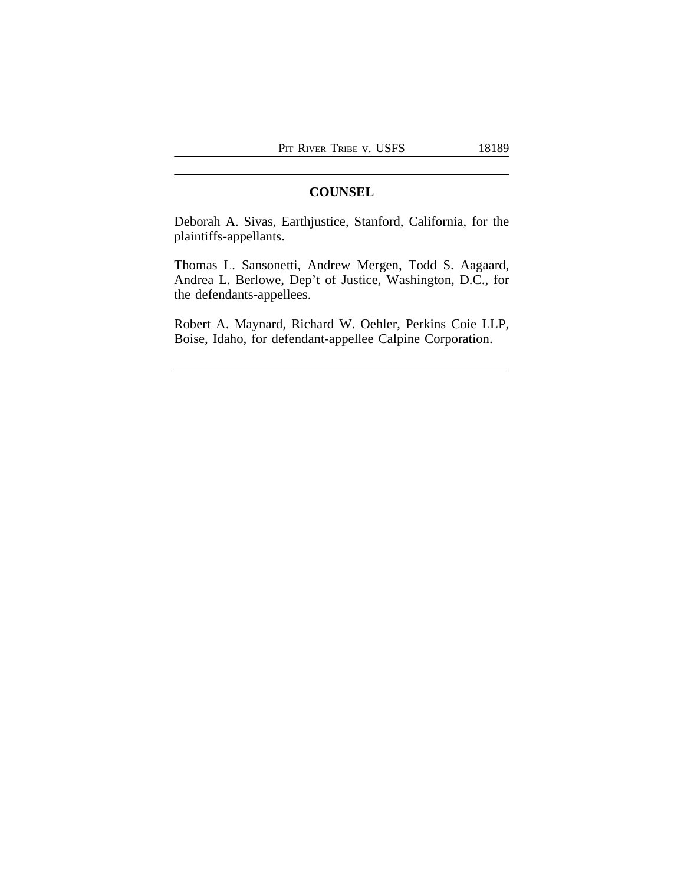# **COUNSEL**

Deborah A. Sivas, Earthjustice, Stanford, California, for the plaintiffs-appellants.

Thomas L. Sansonetti, Andrew Mergen, Todd S. Aagaard, Andrea L. Berlowe, Dep't of Justice, Washington, D.C., for the defendants-appellees.

Robert A. Maynard, Richard W. Oehler, Perkins Coie LLP, Boise, Idaho, for defendant-appellee Calpine Corporation.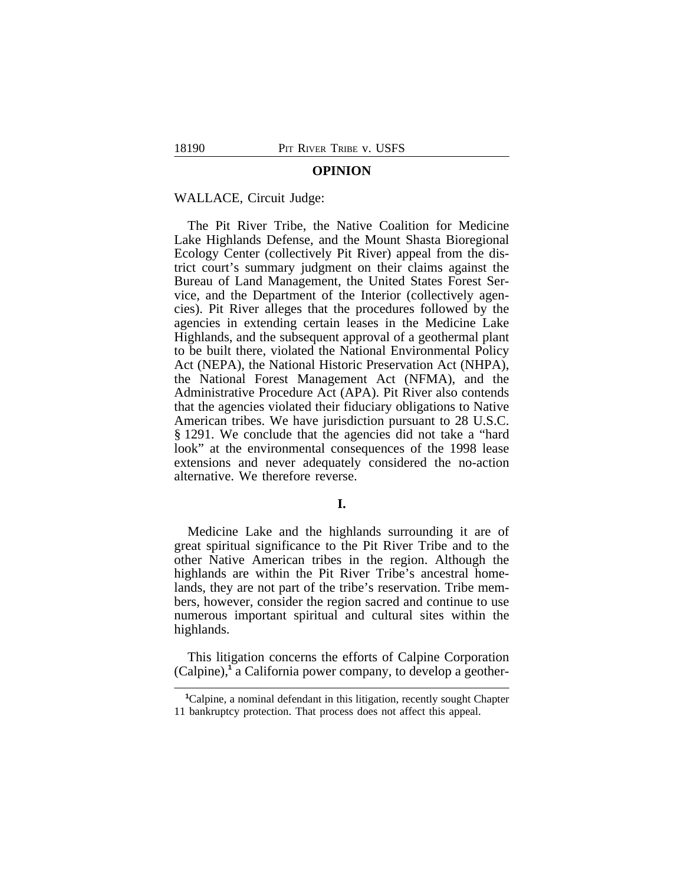#### **OPINION**

# WALLACE, Circuit Judge:

The Pit River Tribe, the Native Coalition for Medicine Lake Highlands Defense, and the Mount Shasta Bioregional Ecology Center (collectively Pit River) appeal from the district court's summary judgment on their claims against the Bureau of Land Management, the United States Forest Service, and the Department of the Interior (collectively agencies). Pit River alleges that the procedures followed by the agencies in extending certain leases in the Medicine Lake Highlands, and the subsequent approval of a geothermal plant to be built there, violated the National Environmental Policy Act (NEPA), the National Historic Preservation Act (NHPA), the National Forest Management Act (NFMA), and the Administrative Procedure Act (APA). Pit River also contends that the agencies violated their fiduciary obligations to Native American tribes. We have jurisdiction pursuant to 28 U.S.C. § 1291. We conclude that the agencies did not take a "hard look" at the environmental consequences of the 1998 lease extensions and never adequately considered the no-action alternative. We therefore reverse.

# **I.**

Medicine Lake and the highlands surrounding it are of great spiritual significance to the Pit River Tribe and to the other Native American tribes in the region. Although the highlands are within the Pit River Tribe's ancestral homelands, they are not part of the tribe's reservation. Tribe members, however, consider the region sacred and continue to use numerous important spiritual and cultural sites within the highlands.

This litigation concerns the efforts of Calpine Corporation (Calpine),<sup>1</sup> a California power company, to develop a geother-

**<sup>1</sup>**Calpine, a nominal defendant in this litigation, recently sought Chapter 11 bankruptcy protection. That process does not affect this appeal.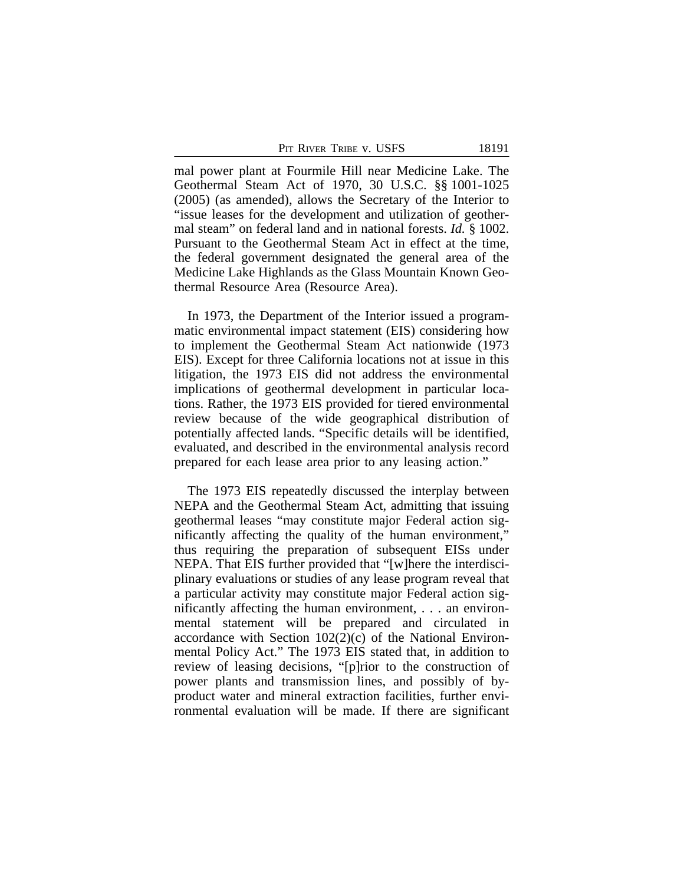PIT RIVER TRIBE V. USFS 18191

mal power plant at Fourmile Hill near Medicine Lake. The Geothermal Steam Act of 1970, 30 U.S.C. §§ 1001-1025 (2005) (as amended), allows the Secretary of the Interior to "issue leases for the development and utilization of geothermal steam" on federal land and in national forests. *Id.* § 1002. Pursuant to the Geothermal Steam Act in effect at the time, the federal government designated the general area of the Medicine Lake Highlands as the Glass Mountain Known Geothermal Resource Area (Resource Area).

In 1973, the Department of the Interior issued a programmatic environmental impact statement (EIS) considering how to implement the Geothermal Steam Act nationwide (1973 EIS). Except for three California locations not at issue in this litigation, the 1973 EIS did not address the environmental implications of geothermal development in particular locations. Rather, the 1973 EIS provided for tiered environmental review because of the wide geographical distribution of potentially affected lands. "Specific details will be identified, evaluated, and described in the environmental analysis record prepared for each lease area prior to any leasing action."

The 1973 EIS repeatedly discussed the interplay between NEPA and the Geothermal Steam Act, admitting that issuing geothermal leases "may constitute major Federal action significantly affecting the quality of the human environment," thus requiring the preparation of subsequent EISs under NEPA. That EIS further provided that "[w]here the interdisciplinary evaluations or studies of any lease program reveal that a particular activity may constitute major Federal action significantly affecting the human environment, ... an environmental statement will be prepared and circulated in accordance with Section 102(2)(c) of the National Environmental Policy Act." The 1973 EIS stated that, in addition to review of leasing decisions, "[p]rior to the construction of power plants and transmission lines, and possibly of byproduct water and mineral extraction facilities, further environmental evaluation will be made. If there are significant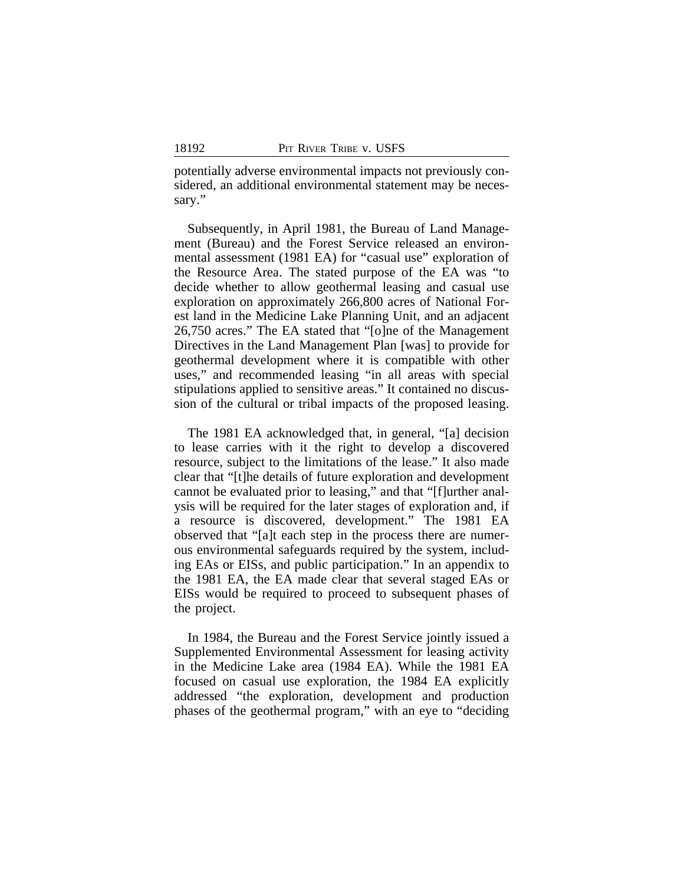potentially adverse environmental impacts not previously considered, an additional environmental statement may be necessary."

Subsequently, in April 1981, the Bureau of Land Management (Bureau) and the Forest Service released an environmental assessment (1981 EA) for "casual use" exploration of the Resource Area. The stated purpose of the EA was "to decide whether to allow geothermal leasing and casual use exploration on approximately 266,800 acres of National Forest land in the Medicine Lake Planning Unit, and an adjacent 26,750 acres." The EA stated that "[o]ne of the Management Directives in the Land Management Plan [was] to provide for geothermal development where it is compatible with other uses," and recommended leasing "in all areas with special stipulations applied to sensitive areas." It contained no discussion of the cultural or tribal impacts of the proposed leasing.

The 1981 EA acknowledged that, in general, "[a] decision to lease carries with it the right to develop a discovered resource, subject to the limitations of the lease." It also made clear that "[t]he details of future exploration and development cannot be evaluated prior to leasing," and that "[f]urther analysis will be required for the later stages of exploration and, if a resource is discovered, development." The 1981 EA observed that "[a]t each step in the process there are numerous environmental safeguards required by the system, including EAs or EISs, and public participation." In an appendix to the 1981 EA, the EA made clear that several staged EAs or EISs would be required to proceed to subsequent phases of the project.

In 1984, the Bureau and the Forest Service jointly issued a Supplemented Environmental Assessment for leasing activity in the Medicine Lake area (1984 EA). While the 1981 EA focused on casual use exploration, the 1984 EA explicitly addressed "the exploration, development and production phases of the geothermal program," with an eye to "deciding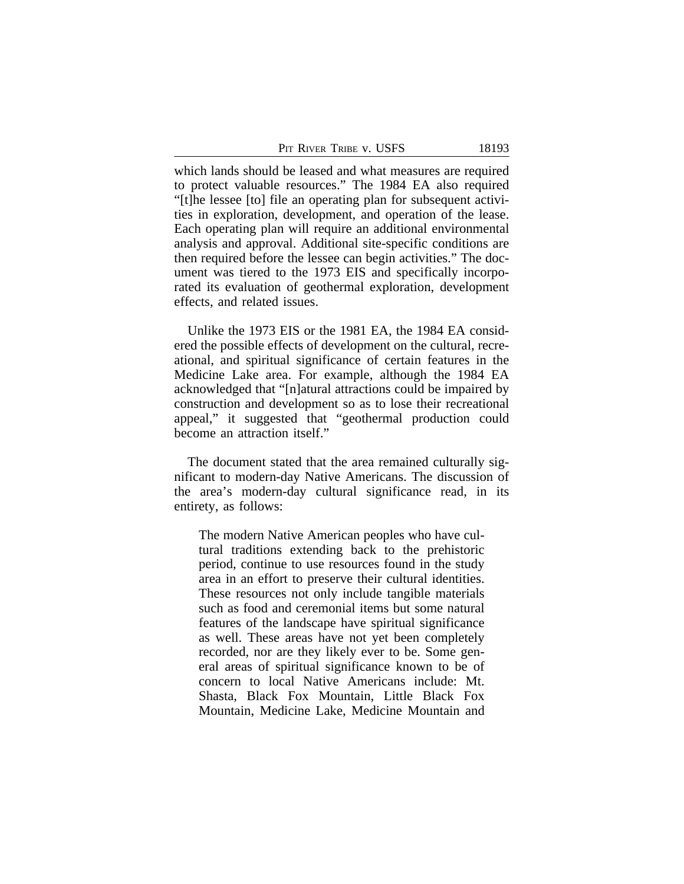PIT RIVER TRIBE V. USFS 18193

which lands should be leased and what measures are required to protect valuable resources." The 1984 EA also required "[t]he lessee [to] file an operating plan for subsequent activities in exploration, development, and operation of the lease. Each operating plan will require an additional environmental analysis and approval. Additional site-specific conditions are then required before the lessee can begin activities." The document was tiered to the 1973 EIS and specifically incorporated its evaluation of geothermal exploration, development effects, and related issues.

Unlike the 1973 EIS or the 1981 EA, the 1984 EA considered the possible effects of development on the cultural, recreational, and spiritual significance of certain features in the Medicine Lake area. For example, although the 1984 EA acknowledged that "[n]atural attractions could be impaired by construction and development so as to lose their recreational appeal," it suggested that "geothermal production could become an attraction itself."

The document stated that the area remained culturally significant to modern-day Native Americans. The discussion of the area's modern-day cultural significance read, in its entirety, as follows:

The modern Native American peoples who have cultural traditions extending back to the prehistoric period, continue to use resources found in the study area in an effort to preserve their cultural identities. These resources not only include tangible materials such as food and ceremonial items but some natural features of the landscape have spiritual significance as well. These areas have not yet been completely recorded, nor are they likely ever to be. Some general areas of spiritual significance known to be of concern to local Native Americans include: Mt. Shasta, Black Fox Mountain, Little Black Fox Mountain, Medicine Lake, Medicine Mountain and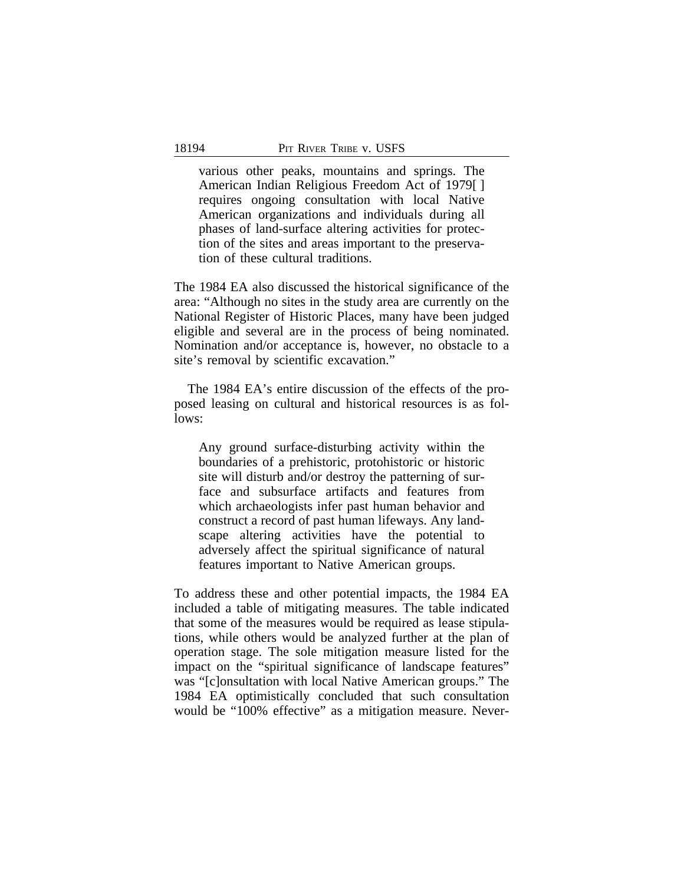various other peaks, mountains and springs. The American Indian Religious Freedom Act of 1979[ ] requires ongoing consultation with local Native American organizations and individuals during all phases of land-surface altering activities for protection of the sites and areas important to the preservation of these cultural traditions.

The 1984 EA also discussed the historical significance of the area: "Although no sites in the study area are currently on the National Register of Historic Places, many have been judged eligible and several are in the process of being nominated. Nomination and/or acceptance is, however, no obstacle to a site's removal by scientific excavation."

The 1984 EA's entire discussion of the effects of the proposed leasing on cultural and historical resources is as follows:

Any ground surface-disturbing activity within the boundaries of a prehistoric, protohistoric or historic site will disturb and/or destroy the patterning of surface and subsurface artifacts and features from which archaeologists infer past human behavior and construct a record of past human lifeways. Any landscape altering activities have the potential to adversely affect the spiritual significance of natural features important to Native American groups.

To address these and other potential impacts, the 1984 EA included a table of mitigating measures. The table indicated that some of the measures would be required as lease stipulations, while others would be analyzed further at the plan of operation stage. The sole mitigation measure listed for the impact on the "spiritual significance of landscape features" was "[c]onsultation with local Native American groups." The 1984 EA optimistically concluded that such consultation would be "100% effective" as a mitigation measure. Never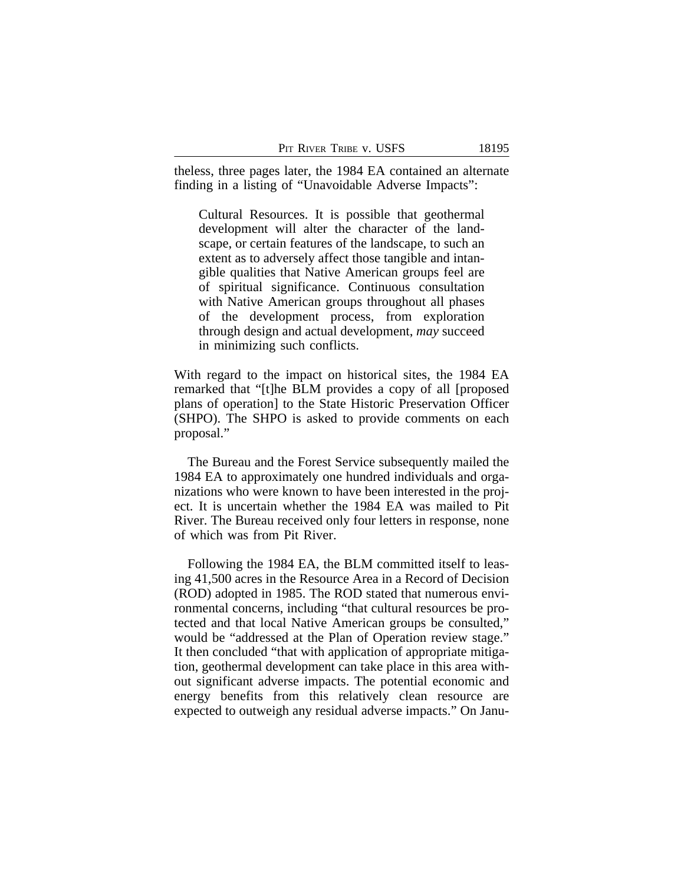theless, three pages later, the 1984 EA contained an alternate finding in a listing of "Unavoidable Adverse Impacts":

Cultural Resources. It is possible that geothermal development will alter the character of the landscape, or certain features of the landscape, to such an extent as to adversely affect those tangible and intangible qualities that Native American groups feel are of spiritual significance. Continuous consultation with Native American groups throughout all phases of the development process, from exploration through design and actual development, *may* succeed in minimizing such conflicts.

With regard to the impact on historical sites, the 1984 EA remarked that "[t]he BLM provides a copy of all [proposed plans of operation] to the State Historic Preservation Officer (SHPO). The SHPO is asked to provide comments on each proposal."

The Bureau and the Forest Service subsequently mailed the 1984 EA to approximately one hundred individuals and organizations who were known to have been interested in the project. It is uncertain whether the 1984 EA was mailed to Pit River. The Bureau received only four letters in response, none of which was from Pit River.

Following the 1984 EA, the BLM committed itself to leasing 41,500 acres in the Resource Area in a Record of Decision (ROD) adopted in 1985. The ROD stated that numerous environmental concerns, including "that cultural resources be protected and that local Native American groups be consulted," would be "addressed at the Plan of Operation review stage." It then concluded "that with application of appropriate mitigation, geothermal development can take place in this area without significant adverse impacts. The potential economic and energy benefits from this relatively clean resource are expected to outweigh any residual adverse impacts." On Janu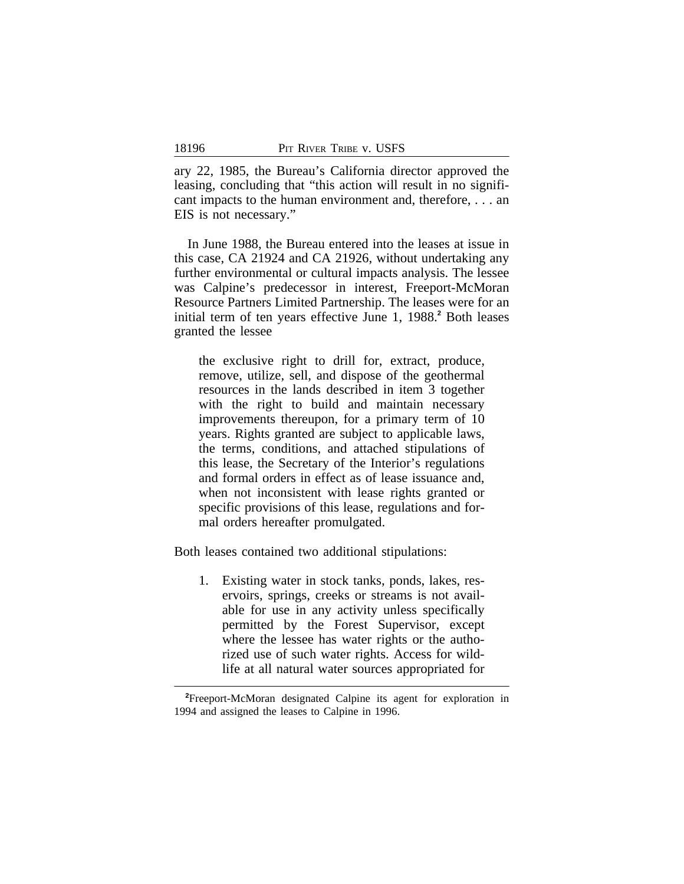ary 22, 1985, the Bureau's California director approved the leasing, concluding that "this action will result in no significant impacts to the human environment and, therefore, . . . an EIS is not necessary."

In June 1988, the Bureau entered into the leases at issue in this case, CA 21924 and CA 21926, without undertaking any further environmental or cultural impacts analysis. The lessee was Calpine's predecessor in interest, Freeport-McMoran Resource Partners Limited Partnership. The leases were for an initial term of ten years effective June 1, 1988.**<sup>2</sup>** Both leases granted the lessee

the exclusive right to drill for, extract, produce, remove, utilize, sell, and dispose of the geothermal resources in the lands described in item 3 together with the right to build and maintain necessary improvements thereupon, for a primary term of 10 years. Rights granted are subject to applicable laws, the terms, conditions, and attached stipulations of this lease, the Secretary of the Interior's regulations and formal orders in effect as of lease issuance and, when not inconsistent with lease rights granted or specific provisions of this lease, regulations and formal orders hereafter promulgated.

Both leases contained two additional stipulations:

1. Existing water in stock tanks, ponds, lakes, reservoirs, springs, creeks or streams is not available for use in any activity unless specifically permitted by the Forest Supervisor, except where the lessee has water rights or the authorized use of such water rights. Access for wildlife at all natural water sources appropriated for

**<sup>2</sup>**Freeport-McMoran designated Calpine its agent for exploration in 1994 and assigned the leases to Calpine in 1996.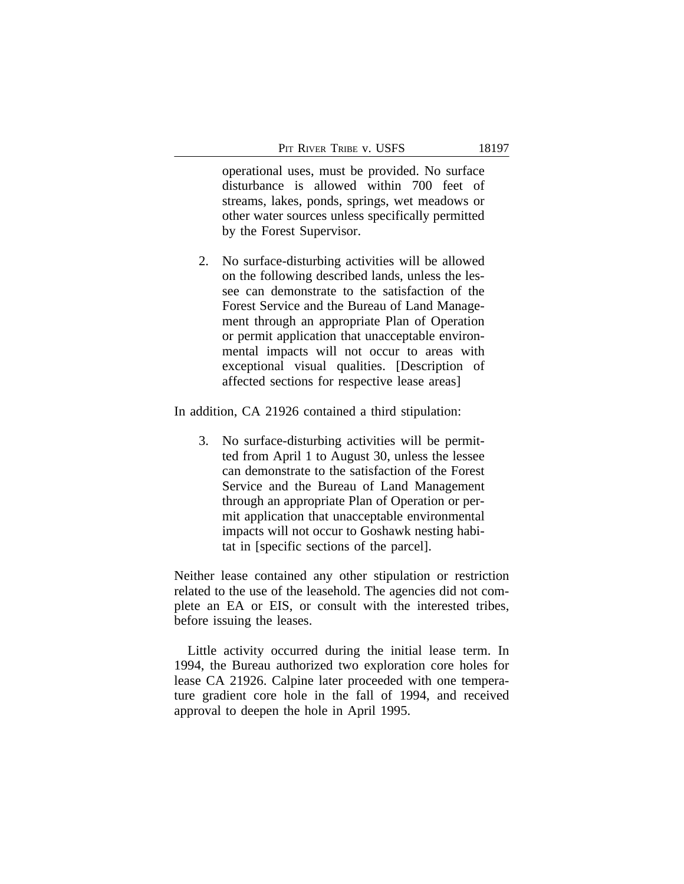operational uses, must be provided. No surface disturbance is allowed within 700 feet of streams, lakes, ponds, springs, wet meadows or other water sources unless specifically permitted by the Forest Supervisor.

2. No surface-disturbing activities will be allowed on the following described lands, unless the lessee can demonstrate to the satisfaction of the Forest Service and the Bureau of Land Management through an appropriate Plan of Operation or permit application that unacceptable environmental impacts will not occur to areas with exceptional visual qualities. [Description of affected sections for respective lease areas]

In addition, CA 21926 contained a third stipulation:

3. No surface-disturbing activities will be permitted from April 1 to August 30, unless the lessee can demonstrate to the satisfaction of the Forest Service and the Bureau of Land Management through an appropriate Plan of Operation or permit application that unacceptable environmental impacts will not occur to Goshawk nesting habitat in [specific sections of the parcel].

Neither lease contained any other stipulation or restriction related to the use of the leasehold. The agencies did not complete an EA or EIS, or consult with the interested tribes, before issuing the leases.

Little activity occurred during the initial lease term. In 1994, the Bureau authorized two exploration core holes for lease CA 21926. Calpine later proceeded with one temperature gradient core hole in the fall of 1994, and received approval to deepen the hole in April 1995.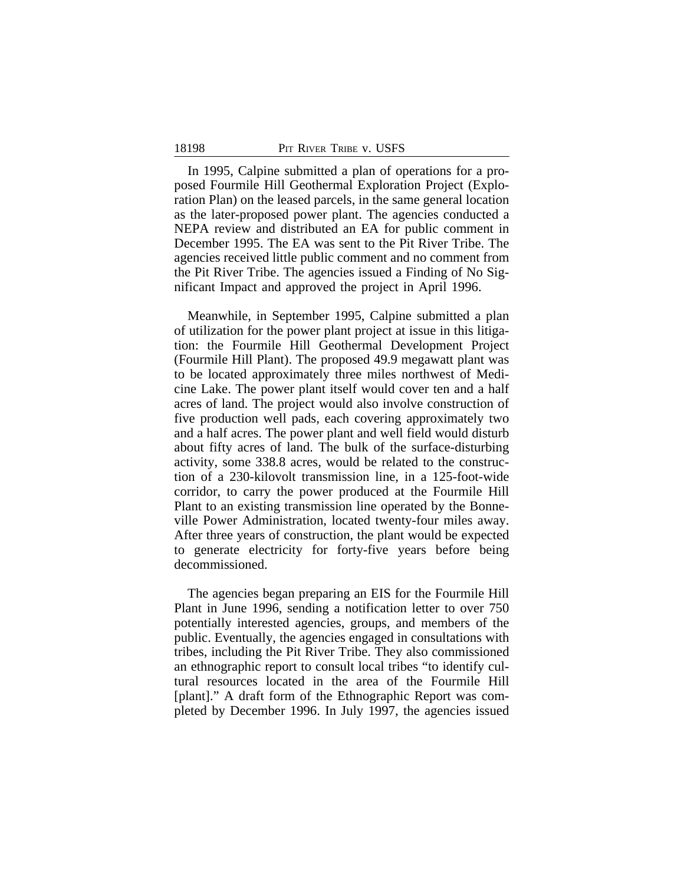In 1995, Calpine submitted a plan of operations for a proposed Fourmile Hill Geothermal Exploration Project (Exploration Plan) on the leased parcels, in the same general location as the later-proposed power plant. The agencies conducted a NEPA review and distributed an EA for public comment in December 1995. The EA was sent to the Pit River Tribe. The agencies received little public comment and no comment from the Pit River Tribe. The agencies issued a Finding of No Significant Impact and approved the project in April 1996.

Meanwhile, in September 1995, Calpine submitted a plan of utilization for the power plant project at issue in this litigation: the Fourmile Hill Geothermal Development Project (Fourmile Hill Plant). The proposed 49.9 megawatt plant was to be located approximately three miles northwest of Medicine Lake. The power plant itself would cover ten and a half acres of land. The project would also involve construction of five production well pads, each covering approximately two and a half acres. The power plant and well field would disturb about fifty acres of land. The bulk of the surface-disturbing activity, some 338.8 acres, would be related to the construction of a 230-kilovolt transmission line, in a 125-foot-wide corridor, to carry the power produced at the Fourmile Hill Plant to an existing transmission line operated by the Bonneville Power Administration, located twenty-four miles away. After three years of construction, the plant would be expected to generate electricity for forty-five years before being decommissioned.

The agencies began preparing an EIS for the Fourmile Hill Plant in June 1996, sending a notification letter to over 750 potentially interested agencies, groups, and members of the public. Eventually, the agencies engaged in consultations with tribes, including the Pit River Tribe. They also commissioned an ethnographic report to consult local tribes "to identify cultural resources located in the area of the Fourmile Hill [plant]." A draft form of the Ethnographic Report was completed by December 1996. In July 1997, the agencies issued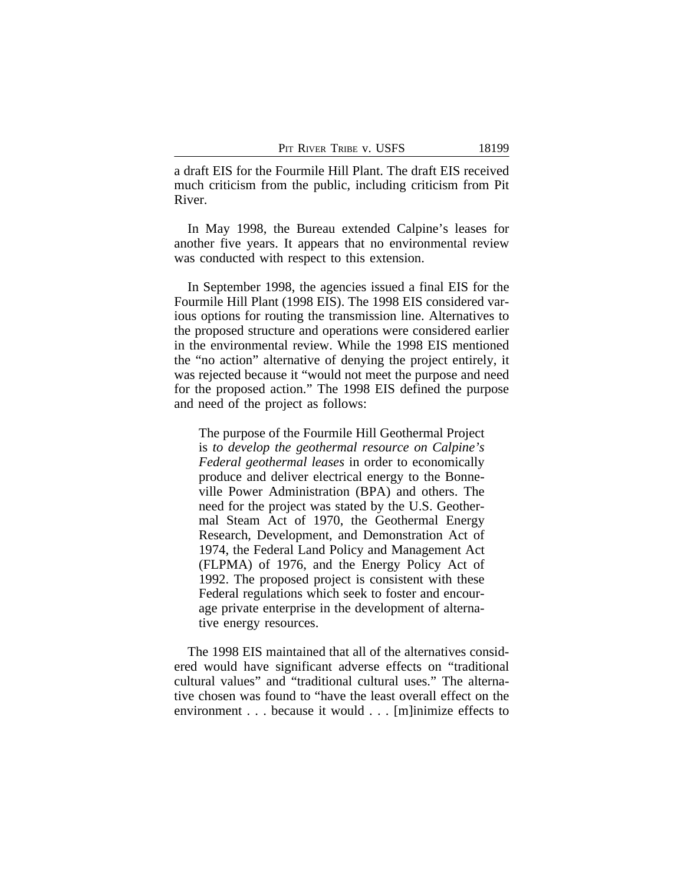a draft EIS for the Fourmile Hill Plant. The draft EIS received much criticism from the public, including criticism from Pit River.

In May 1998, the Bureau extended Calpine's leases for another five years. It appears that no environmental review was conducted with respect to this extension.

In September 1998, the agencies issued a final EIS for the Fourmile Hill Plant (1998 EIS). The 1998 EIS considered various options for routing the transmission line. Alternatives to the proposed structure and operations were considered earlier in the environmental review. While the 1998 EIS mentioned the "no action" alternative of denying the project entirely, it was rejected because it "would not meet the purpose and need for the proposed action." The 1998 EIS defined the purpose and need of the project as follows:

The purpose of the Fourmile Hill Geothermal Project is *to develop the geothermal resource on Calpine's Federal geothermal leases* in order to economically produce and deliver electrical energy to the Bonneville Power Administration (BPA) and others. The need for the project was stated by the U.S. Geothermal Steam Act of 1970, the Geothermal Energy Research, Development, and Demonstration Act of 1974, the Federal Land Policy and Management Act (FLPMA) of 1976, and the Energy Policy Act of 1992. The proposed project is consistent with these Federal regulations which seek to foster and encourage private enterprise in the development of alternative energy resources.

The 1998 EIS maintained that all of the alternatives considered would have significant adverse effects on "traditional cultural values" and "traditional cultural uses." The alternative chosen was found to "have the least overall effect on the environment . . . because it would . . . [m]inimize effects to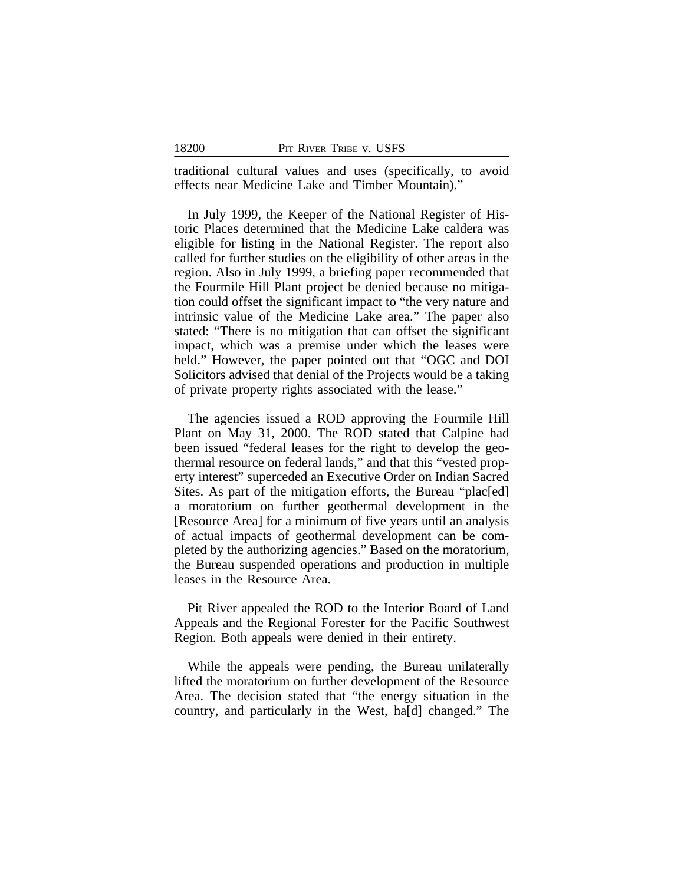traditional cultural values and uses (specifically, to avoid effects near Medicine Lake and Timber Mountain)."

In July 1999, the Keeper of the National Register of Historic Places determined that the Medicine Lake caldera was eligible for listing in the National Register. The report also called for further studies on the eligibility of other areas in the region. Also in July 1999, a briefing paper recommended that the Fourmile Hill Plant project be denied because no mitigation could offset the significant impact to "the very nature and intrinsic value of the Medicine Lake area." The paper also stated: "There is no mitigation that can offset the significant impact, which was a premise under which the leases were held." However, the paper pointed out that "OGC and DOI Solicitors advised that denial of the Projects would be a taking of private property rights associated with the lease."

The agencies issued a ROD approving the Fourmile Hill Plant on May 31, 2000. The ROD stated that Calpine had been issued "federal leases for the right to develop the geothermal resource on federal lands," and that this "vested property interest" superceded an Executive Order on Indian Sacred Sites. As part of the mitigation efforts, the Bureau "plac[ed] a moratorium on further geothermal development in the [Resource Area] for a minimum of five years until an analysis of actual impacts of geothermal development can be completed by the authorizing agencies." Based on the moratorium, the Bureau suspended operations and production in multiple leases in the Resource Area.

Pit River appealed the ROD to the Interior Board of Land Appeals and the Regional Forester for the Pacific Southwest Region. Both appeals were denied in their entirety.

While the appeals were pending, the Bureau unilaterally lifted the moratorium on further development of the Resource Area. The decision stated that "the energy situation in the country, and particularly in the West, ha[d] changed." The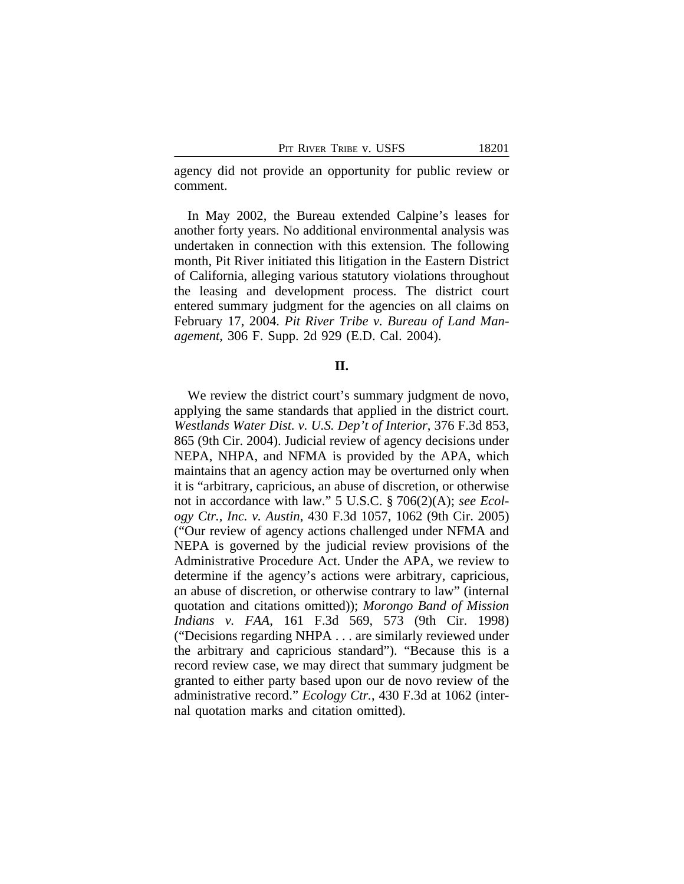agency did not provide an opportunity for public review or comment.

In May 2002, the Bureau extended Calpine's leases for another forty years. No additional environmental analysis was undertaken in connection with this extension. The following month, Pit River initiated this litigation in the Eastern District of California, alleging various statutory violations throughout the leasing and development process. The district court entered summary judgment for the agencies on all claims on February 17, 2004. *Pit River Tribe v. Bureau of Land Management*, 306 F. Supp. 2d 929 (E.D. Cal. 2004).

### **II.**

We review the district court's summary judgment de novo, applying the same standards that applied in the district court. *Westlands Water Dist. v. U.S. Dep't of Interior*, 376 F.3d 853, 865 (9th Cir. 2004). Judicial review of agency decisions under NEPA, NHPA, and NFMA is provided by the APA, which maintains that an agency action may be overturned only when it is "arbitrary, capricious, an abuse of discretion, or otherwise not in accordance with law." 5 U.S.C. § 706(2)(A); *see Ecology Ctr., Inc. v. Austin*, 430 F.3d 1057, 1062 (9th Cir. 2005) ("Our review of agency actions challenged under NFMA and NEPA is governed by the judicial review provisions of the Administrative Procedure Act. Under the APA, we review to determine if the agency's actions were arbitrary, capricious, an abuse of discretion, or otherwise contrary to law" (internal quotation and citations omitted)); *Morongo Band of Mission Indians v. FAA*, 161 F.3d 569, 573 (9th Cir. 1998) ("Decisions regarding NHPA . . . are similarly reviewed under the arbitrary and capricious standard"). "Because this is a record review case, we may direct that summary judgment be granted to either party based upon our de novo review of the administrative record." *Ecology Ctr.*, 430 F.3d at 1062 (internal quotation marks and citation omitted).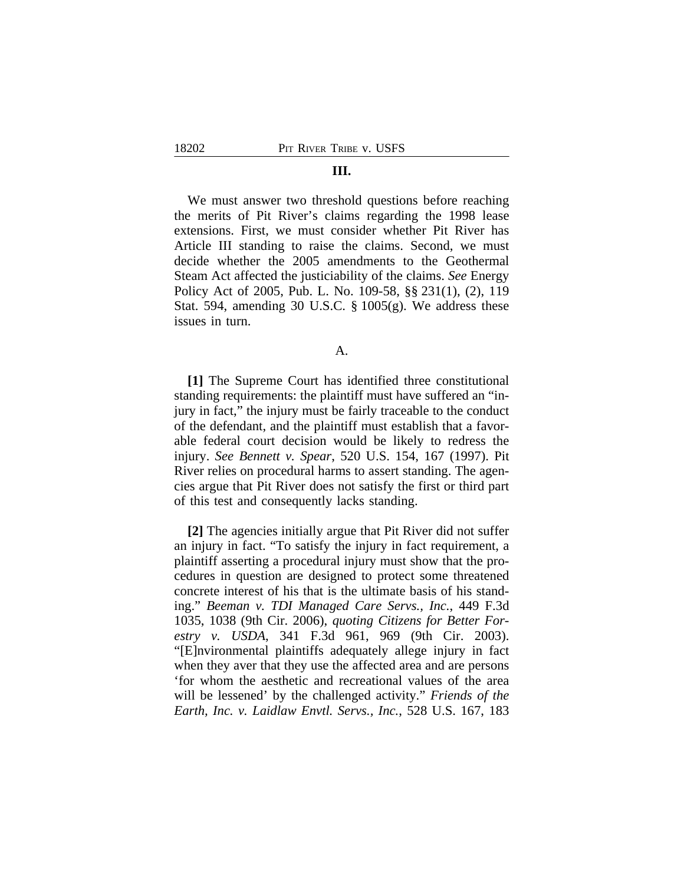### **III.**

We must answer two threshold questions before reaching the merits of Pit River's claims regarding the 1998 lease extensions. First, we must consider whether Pit River has Article III standing to raise the claims. Second, we must decide whether the 2005 amendments to the Geothermal Steam Act affected the justiciability of the claims. *See* Energy Policy Act of 2005, Pub. L. No. 109-58, §§ 231(1), (2), 119 Stat. 594, amending 30 U.S.C. § 1005(g). We address these issues in turn.

A.

**[1]** The Supreme Court has identified three constitutional standing requirements: the plaintiff must have suffered an "injury in fact," the injury must be fairly traceable to the conduct of the defendant, and the plaintiff must establish that a favorable federal court decision would be likely to redress the injury. *See Bennett v. Spear*, 520 U.S. 154, 167 (1997). Pit River relies on procedural harms to assert standing. The agencies argue that Pit River does not satisfy the first or third part of this test and consequently lacks standing.

**[2]** The agencies initially argue that Pit River did not suffer an injury in fact. "To satisfy the injury in fact requirement, a plaintiff asserting a procedural injury must show that the procedures in question are designed to protect some threatened concrete interest of his that is the ultimate basis of his standing." *Beeman v. TDI Managed Care Servs., Inc.*, 449 F.3d 1035, 1038 (9th Cir. 2006), *quoting Citizens for Better Forestry v. USDA*, 341 F.3d 961, 969 (9th Cir. 2003). "[E]nvironmental plaintiffs adequately allege injury in fact when they aver that they use the affected area and are persons 'for whom the aesthetic and recreational values of the area will be lessened' by the challenged activity." *Friends of the Earth, Inc. v. Laidlaw Envtl. Servs., Inc.*, 528 U.S. 167, 183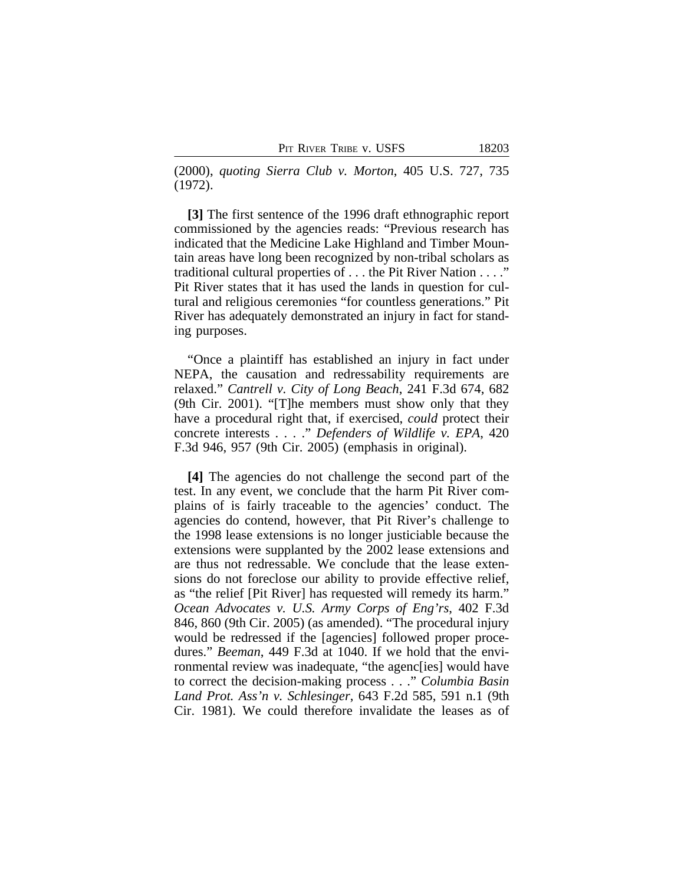(2000), *quoting Sierra Club v. Morton*, 405 U.S. 727, 735 (1972).

**[3]** The first sentence of the 1996 draft ethnographic report commissioned by the agencies reads: "Previous research has indicated that the Medicine Lake Highland and Timber Mountain areas have long been recognized by non-tribal scholars as traditional cultural properties of . . . the Pit River Nation . . . ." Pit River states that it has used the lands in question for cultural and religious ceremonies "for countless generations." Pit River has adequately demonstrated an injury in fact for standing purposes.

"Once a plaintiff has established an injury in fact under NEPA, the causation and redressability requirements are relaxed." *Cantrell v. City of Long Beach*, 241 F.3d 674, 682 (9th Cir. 2001). "[T]he members must show only that they have a procedural right that, if exercised, *could* protect their concrete interests . . . ." *Defenders of Wildlife v. EPA*, 420 F.3d 946, 957 (9th Cir. 2005) (emphasis in original).

**[4]** The agencies do not challenge the second part of the test. In any event, we conclude that the harm Pit River complains of is fairly traceable to the agencies' conduct. The agencies do contend, however, that Pit River's challenge to the 1998 lease extensions is no longer justiciable because the extensions were supplanted by the 2002 lease extensions and are thus not redressable. We conclude that the lease extensions do not foreclose our ability to provide effective relief, as "the relief [Pit River] has requested will remedy its harm." *Ocean Advocates v. U.S. Army Corps of Eng'rs*, 402 F.3d 846, 860 (9th Cir. 2005) (as amended). "The procedural injury would be redressed if the [agencies] followed proper procedures." *Beeman*, 449 F.3d at 1040. If we hold that the environmental review was inadequate, "the agenc[ies] would have to correct the decision-making process . . ." *Columbia Basin Land Prot. Ass'n v. Schlesinger*, 643 F.2d 585, 591 n.1 (9th Cir. 1981). We could therefore invalidate the leases as of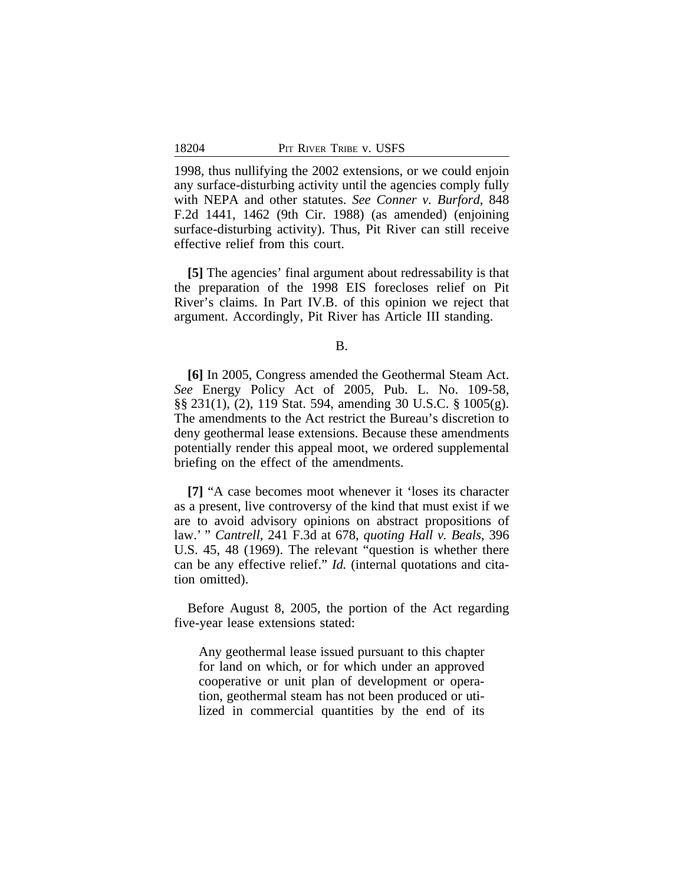1998, thus nullifying the 2002 extensions, or we could enjoin any surface-disturbing activity until the agencies comply fully with NEPA and other statutes. *See Conner v. Burford*, 848 F.2d 1441, 1462 (9th Cir. 1988) (as amended) (enjoining surface-disturbing activity). Thus, Pit River can still receive effective relief from this court.

**[5]** The agencies' final argument about redressability is that the preparation of the 1998 EIS forecloses relief on Pit River's claims. In Part IV.B. of this opinion we reject that argument. Accordingly, Pit River has Article III standing.

B.

**[6]** In 2005, Congress amended the Geothermal Steam Act. *See* Energy Policy Act of 2005, Pub. L. No. 109-58, §§ 231(1), (2), 119 Stat. 594, amending 30 U.S.C. § 1005(g). The amendments to the Act restrict the Bureau's discretion to deny geothermal lease extensions. Because these amendments potentially render this appeal moot, we ordered supplemental briefing on the effect of the amendments.

**[7]** "A case becomes moot whenever it 'loses its character as a present, live controversy of the kind that must exist if we are to avoid advisory opinions on abstract propositions of law.' " *Cantrell*, 241 F.3d at 678, *quoting Hall v. Beals*, 396 U.S. 45, 48 (1969). The relevant "question is whether there can be any effective relief." *Id.* (internal quotations and citation omitted).

Before August 8, 2005, the portion of the Act regarding five-year lease extensions stated:

Any geothermal lease issued pursuant to this chapter for land on which, or for which under an approved cooperative or unit plan of development or operation, geothermal steam has not been produced or utilized in commercial quantities by the end of its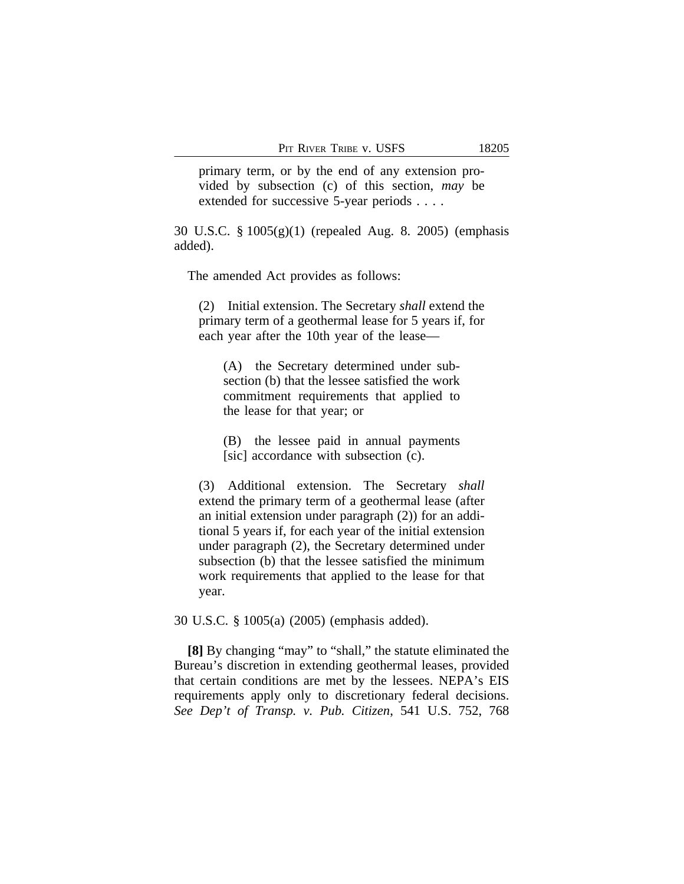primary term, or by the end of any extension provided by subsection (c) of this section, *may* be extended for successive 5-year periods . . . .

30 U.S.C. § 1005(g)(1) (repealed Aug. 8. 2005) (emphasis added).

The amended Act provides as follows:

(2) Initial extension. The Secretary *shall* extend the primary term of a geothermal lease for 5 years if, for each year after the 10th year of the lease—

(A) the Secretary determined under subsection (b) that the lessee satisfied the work commitment requirements that applied to the lease for that year; or

(B) the lessee paid in annual payments [sic] accordance with subsection (c).

(3) Additional extension. The Secretary *shall* extend the primary term of a geothermal lease (after an initial extension under paragraph (2)) for an additional 5 years if, for each year of the initial extension under paragraph (2), the Secretary determined under subsection (b) that the lessee satisfied the minimum work requirements that applied to the lease for that year.

30 U.S.C. § 1005(a) (2005) (emphasis added).

**[8]** By changing "may" to "shall," the statute eliminated the Bureau's discretion in extending geothermal leases, provided that certain conditions are met by the lessees. NEPA's EIS requirements apply only to discretionary federal decisions. *See Dep't of Transp. v. Pub. Citizen*, 541 U.S. 752, 768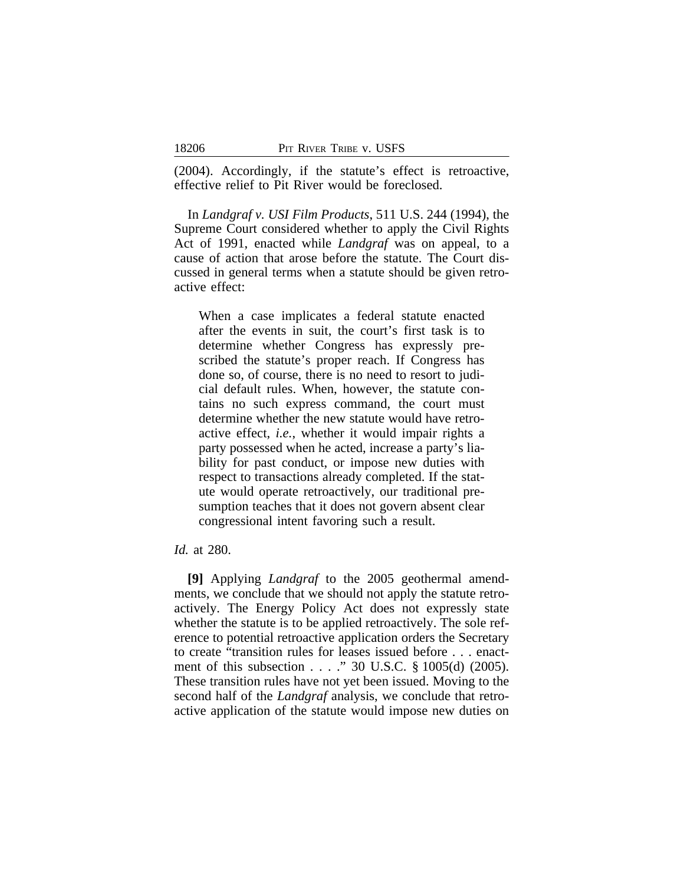(2004). Accordingly, if the statute's effect is retroactive, effective relief to Pit River would be foreclosed.

In *Landgraf v. USI Film Products*, 511 U.S. 244 (1994), the Supreme Court considered whether to apply the Civil Rights Act of 1991, enacted while *Landgraf* was on appeal, to a cause of action that arose before the statute. The Court discussed in general terms when a statute should be given retroactive effect:

When a case implicates a federal statute enacted after the events in suit, the court's first task is to determine whether Congress has expressly prescribed the statute's proper reach. If Congress has done so, of course, there is no need to resort to judicial default rules. When, however, the statute contains no such express command, the court must determine whether the new statute would have retroactive effect, *i.e.*, whether it would impair rights a party possessed when he acted, increase a party's liability for past conduct, or impose new duties with respect to transactions already completed. If the statute would operate retroactively, our traditional presumption teaches that it does not govern absent clear congressional intent favoring such a result.

# *Id.* at 280.

**[9]** Applying *Landgraf* to the 2005 geothermal amendments, we conclude that we should not apply the statute retroactively. The Energy Policy Act does not expressly state whether the statute is to be applied retroactively. The sole reference to potential retroactive application orders the Secretary to create "transition rules for leases issued before . . . enactment of this subsection . . . ." 30 U.S.C. § 1005(d) (2005). These transition rules have not yet been issued. Moving to the second half of the *Landgraf* analysis, we conclude that retroactive application of the statute would impose new duties on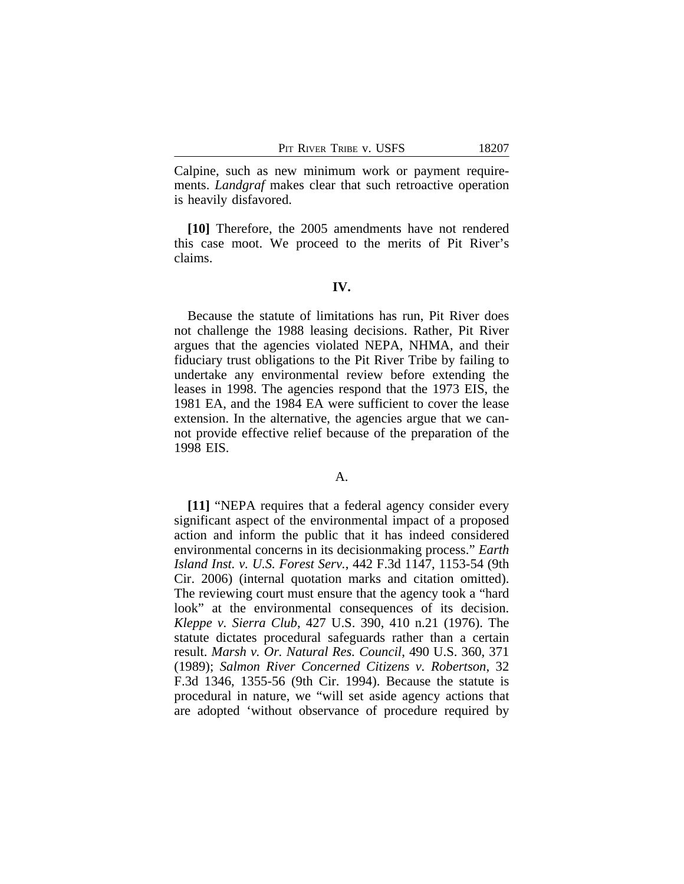Calpine, such as new minimum work or payment requirements. *Landgraf* makes clear that such retroactive operation is heavily disfavored.

**[10]** Therefore, the 2005 amendments have not rendered this case moot. We proceed to the merits of Pit River's claims.

#### **IV.**

Because the statute of limitations has run, Pit River does not challenge the 1988 leasing decisions. Rather, Pit River argues that the agencies violated NEPA, NHMA, and their fiduciary trust obligations to the Pit River Tribe by failing to undertake any environmental review before extending the leases in 1998. The agencies respond that the 1973 EIS, the 1981 EA, and the 1984 EA were sufficient to cover the lease extension. In the alternative, the agencies argue that we cannot provide effective relief because of the preparation of the 1998 EIS.

# A.

**[11]** "NEPA requires that a federal agency consider every significant aspect of the environmental impact of a proposed action and inform the public that it has indeed considered environmental concerns in its decisionmaking process." *Earth Island Inst. v. U.S. Forest Serv.*, 442 F.3d 1147, 1153-54 (9th Cir. 2006) (internal quotation marks and citation omitted). The reviewing court must ensure that the agency took a "hard look" at the environmental consequences of its decision. *Kleppe v. Sierra Club*, 427 U.S. 390, 410 n.21 (1976). The statute dictates procedural safeguards rather than a certain result. *Marsh v. Or. Natural Res. Council*, 490 U.S. 360, 371 (1989); *Salmon River Concerned Citizens v. Robertson*, 32 F.3d 1346, 1355-56 (9th Cir. 1994). Because the statute is procedural in nature, we "will set aside agency actions that are adopted 'without observance of procedure required by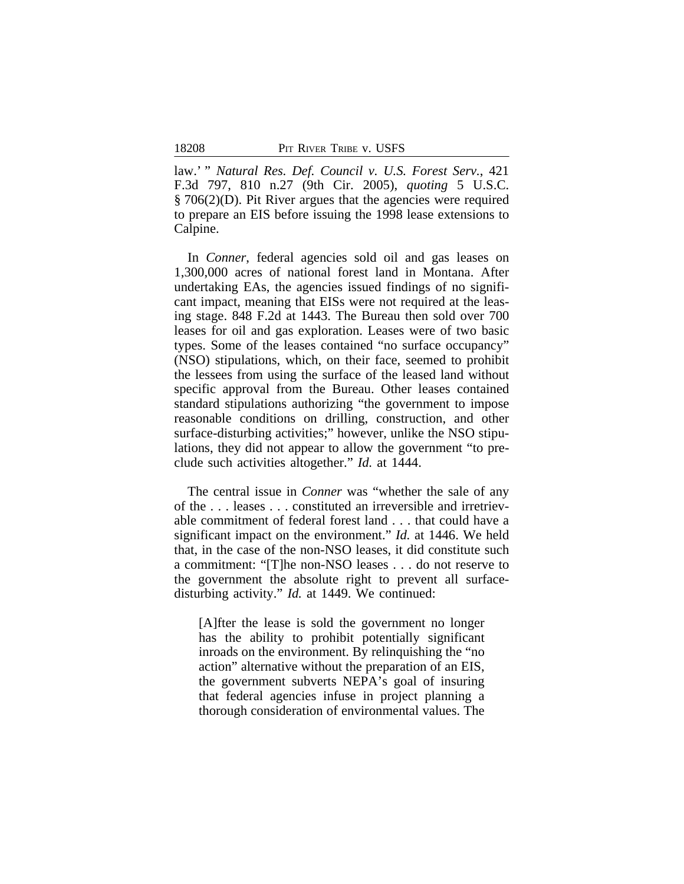law.' " *Natural Res. Def. Council v. U.S. Forest Serv.*, 421 F.3d 797, 810 n.27 (9th Cir. 2005), *quoting* 5 U.S.C. § 706(2)(D). Pit River argues that the agencies were required to prepare an EIS before issuing the 1998 lease extensions to Calpine.

In *Conner*, federal agencies sold oil and gas leases on 1,300,000 acres of national forest land in Montana. After undertaking EAs, the agencies issued findings of no significant impact, meaning that EISs were not required at the leasing stage. 848 F.2d at 1443. The Bureau then sold over 700 leases for oil and gas exploration. Leases were of two basic types. Some of the leases contained "no surface occupancy" (NSO) stipulations, which, on their face, seemed to prohibit the lessees from using the surface of the leased land without specific approval from the Bureau. Other leases contained standard stipulations authorizing "the government to impose reasonable conditions on drilling, construction, and other surface-disturbing activities;" however, unlike the NSO stipulations, they did not appear to allow the government "to preclude such activities altogether." *Id.* at 1444.

The central issue in *Conner* was "whether the sale of any of the . . . leases . . . constituted an irreversible and irretrievable commitment of federal forest land . . . that could have a significant impact on the environment." *Id.* at 1446. We held that, in the case of the non-NSO leases, it did constitute such a commitment: "[T]he non-NSO leases . . . do not reserve to the government the absolute right to prevent all surfacedisturbing activity." *Id.* at 1449. We continued:

[A]fter the lease is sold the government no longer has the ability to prohibit potentially significant inroads on the environment. By relinquishing the "no action" alternative without the preparation of an EIS, the government subverts NEPA's goal of insuring that federal agencies infuse in project planning a thorough consideration of environmental values. The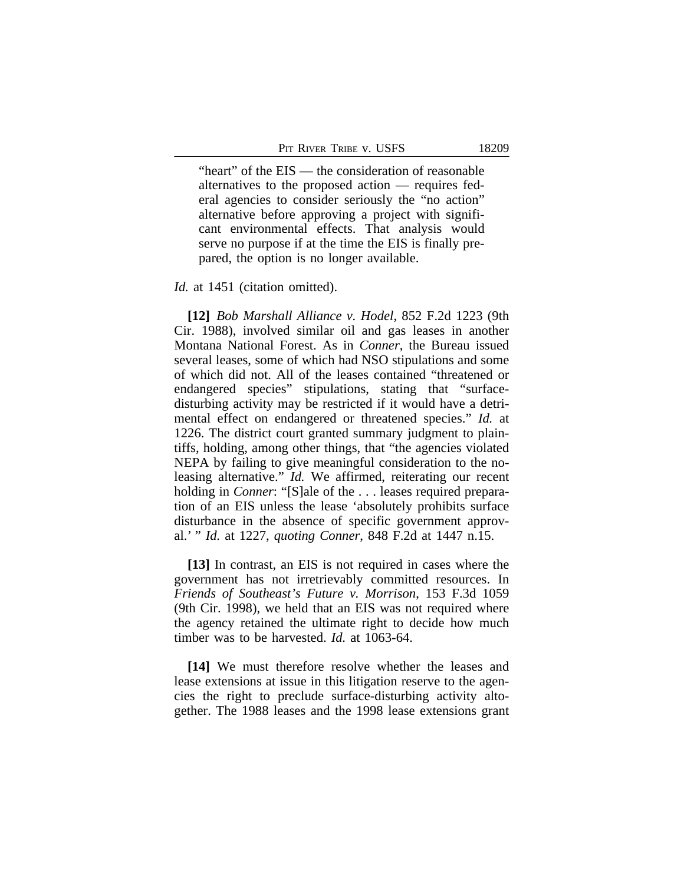"heart" of the EIS — the consideration of reasonable alternatives to the proposed action — requires federal agencies to consider seriously the "no action" alternative before approving a project with significant environmental effects. That analysis would serve no purpose if at the time the EIS is finally prepared, the option is no longer available.

#### *Id.* at 1451 (citation omitted).

**[12]** *Bob Marshall Alliance v. Hodel*, 852 F.2d 1223 (9th Cir. 1988), involved similar oil and gas leases in another Montana National Forest. As in *Conner*, the Bureau issued several leases, some of which had NSO stipulations and some of which did not. All of the leases contained "threatened or endangered species" stipulations, stating that "surfacedisturbing activity may be restricted if it would have a detrimental effect on endangered or threatened species." *Id.* at 1226. The district court granted summary judgment to plaintiffs, holding, among other things, that "the agencies violated NEPA by failing to give meaningful consideration to the noleasing alternative." *Id.* We affirmed, reiterating our recent holding in *Conner*: "[S]ale of the . . . leases required preparation of an EIS unless the lease 'absolutely prohibits surface disturbance in the absence of specific government approval.' " *Id.* at 1227, *quoting Conner*, 848 F.2d at 1447 n.15.

**[13]** In contrast, an EIS is not required in cases where the government has not irretrievably committed resources. In *Friends of Southeast's Future v. Morrison*, 153 F.3d 1059 (9th Cir. 1998), we held that an EIS was not required where the agency retained the ultimate right to decide how much timber was to be harvested. *Id.* at 1063-64.

**[14]** We must therefore resolve whether the leases and lease extensions at issue in this litigation reserve to the agencies the right to preclude surface-disturbing activity altogether. The 1988 leases and the 1998 lease extensions grant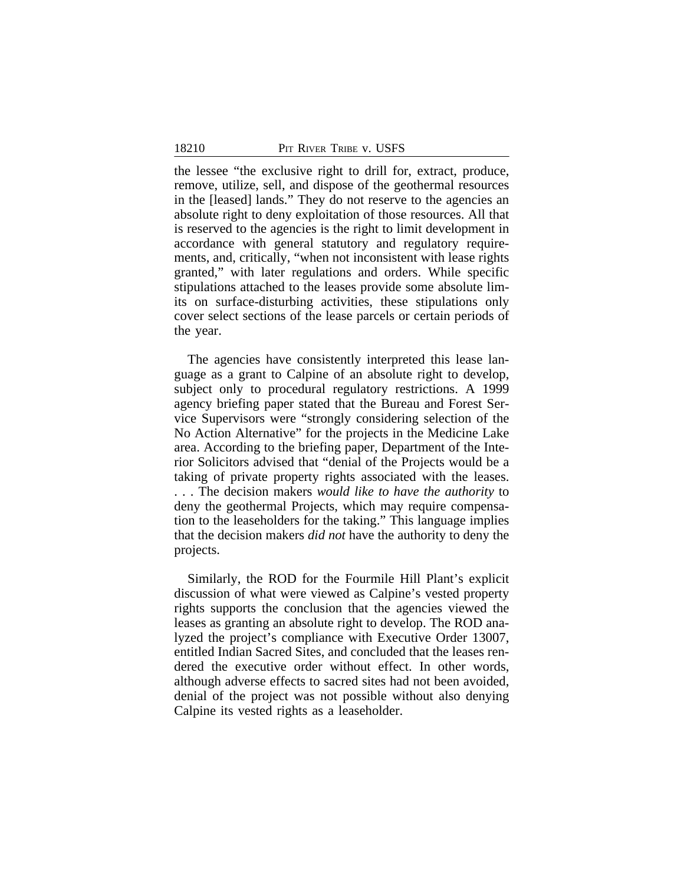the lessee "the exclusive right to drill for, extract, produce, remove, utilize, sell, and dispose of the geothermal resources in the [leased] lands." They do not reserve to the agencies an absolute right to deny exploitation of those resources. All that is reserved to the agencies is the right to limit development in accordance with general statutory and regulatory requirements, and, critically, "when not inconsistent with lease rights granted," with later regulations and orders. While specific stipulations attached to the leases provide some absolute limits on surface-disturbing activities, these stipulations only cover select sections of the lease parcels or certain periods of the year.

The agencies have consistently interpreted this lease language as a grant to Calpine of an absolute right to develop, subject only to procedural regulatory restrictions. A 1999 agency briefing paper stated that the Bureau and Forest Service Supervisors were "strongly considering selection of the No Action Alternative" for the projects in the Medicine Lake area. According to the briefing paper, Department of the Interior Solicitors advised that "denial of the Projects would be a taking of private property rights associated with the leases. . . . The decision makers *would like to have the authority* to deny the geothermal Projects, which may require compensation to the leaseholders for the taking." This language implies that the decision makers *did not* have the authority to deny the projects.

Similarly, the ROD for the Fourmile Hill Plant's explicit discussion of what were viewed as Calpine's vested property rights supports the conclusion that the agencies viewed the leases as granting an absolute right to develop. The ROD analyzed the project's compliance with Executive Order 13007, entitled Indian Sacred Sites, and concluded that the leases rendered the executive order without effect. In other words, although adverse effects to sacred sites had not been avoided, denial of the project was not possible without also denying Calpine its vested rights as a leaseholder.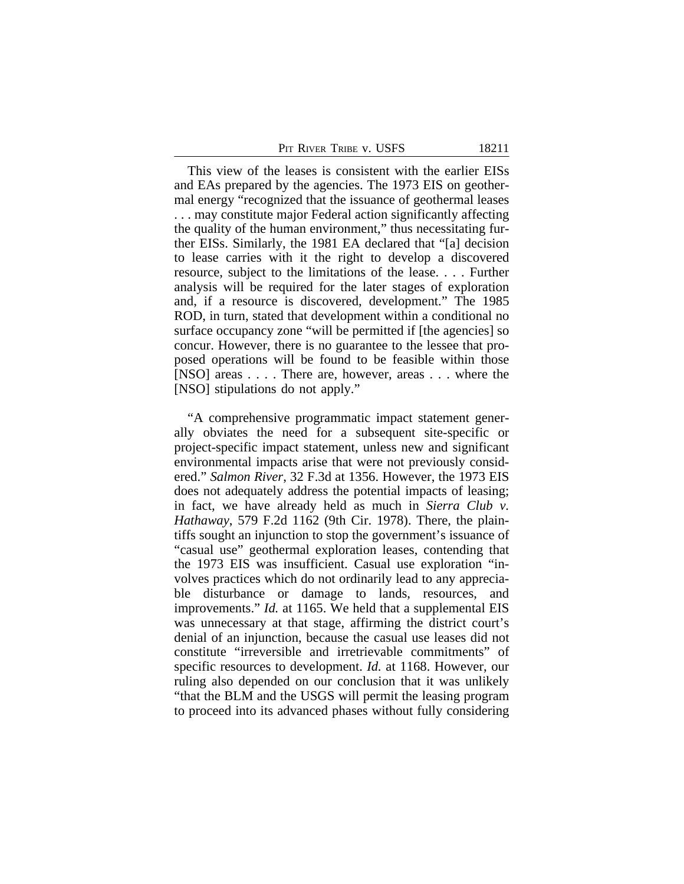|  | Pit River Tribe v. USFS |  |  |  |
|--|-------------------------|--|--|--|
|--|-------------------------|--|--|--|

This view of the leases is consistent with the earlier EISs and EAs prepared by the agencies. The 1973 EIS on geothermal energy "recognized that the issuance of geothermal leases . . . may constitute major Federal action significantly affecting the quality of the human environment," thus necessitating further EISs. Similarly, the 1981 EA declared that "[a] decision to lease carries with it the right to develop a discovered resource, subject to the limitations of the lease. . . . Further analysis will be required for the later stages of exploration and, if a resource is discovered, development." The 1985 ROD, in turn, stated that development within a conditional no surface occupancy zone "will be permitted if [the agencies] so concur. However, there is no guarantee to the lessee that proposed operations will be found to be feasible within those [NSO] areas . . . . There are, however, areas . . . where the [NSO] stipulations do not apply."

"A comprehensive programmatic impact statement generally obviates the need for a subsequent site-specific or project-specific impact statement, unless new and significant environmental impacts arise that were not previously considered." *Salmon River*, 32 F.3d at 1356. However, the 1973 EIS does not adequately address the potential impacts of leasing; in fact, we have already held as much in *Sierra Club v. Hathaway*, 579 F.2d 1162 (9th Cir. 1978). There, the plaintiffs sought an injunction to stop the government's issuance of "casual use" geothermal exploration leases, contending that the 1973 EIS was insufficient. Casual use exploration "involves practices which do not ordinarily lead to any appreciable disturbance or damage to lands, resources, and improvements." *Id.* at 1165. We held that a supplemental EIS was unnecessary at that stage, affirming the district court's denial of an injunction, because the casual use leases did not constitute "irreversible and irretrievable commitments" of specific resources to development. *Id.* at 1168. However, our ruling also depended on our conclusion that it was unlikely "that the BLM and the USGS will permit the leasing program to proceed into its advanced phases without fully considering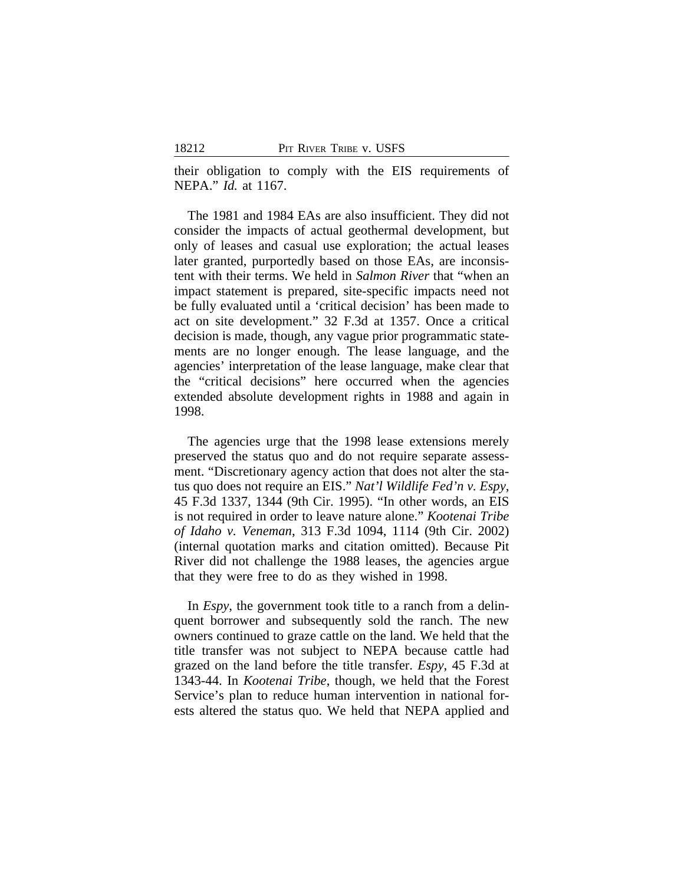their obligation to comply with the EIS requirements of NEPA." *Id.* at 1167.

The 1981 and 1984 EAs are also insufficient. They did not consider the impacts of actual geothermal development, but only of leases and casual use exploration; the actual leases later granted, purportedly based on those EAs, are inconsistent with their terms. We held in *Salmon River* that "when an impact statement is prepared, site-specific impacts need not be fully evaluated until a 'critical decision' has been made to act on site development." 32 F.3d at 1357. Once a critical decision is made, though, any vague prior programmatic statements are no longer enough. The lease language, and the agencies' interpretation of the lease language, make clear that the "critical decisions" here occurred when the agencies extended absolute development rights in 1988 and again in 1998.

The agencies urge that the 1998 lease extensions merely preserved the status quo and do not require separate assessment. "Discretionary agency action that does not alter the status quo does not require an EIS." *Nat'l Wildlife Fed'n v. Espy*, 45 F.3d 1337, 1344 (9th Cir. 1995). "In other words, an EIS is not required in order to leave nature alone." *Kootenai Tribe of Idaho v. Veneman*, 313 F.3d 1094, 1114 (9th Cir. 2002) (internal quotation marks and citation omitted). Because Pit River did not challenge the 1988 leases, the agencies argue that they were free to do as they wished in 1998.

In *Espy*, the government took title to a ranch from a delinquent borrower and subsequently sold the ranch. The new owners continued to graze cattle on the land. We held that the title transfer was not subject to NEPA because cattle had grazed on the land before the title transfer. *Espy*, 45 F.3d at 1343-44. In *Kootenai Tribe*, though, we held that the Forest Service's plan to reduce human intervention in national forests altered the status quo. We held that NEPA applied and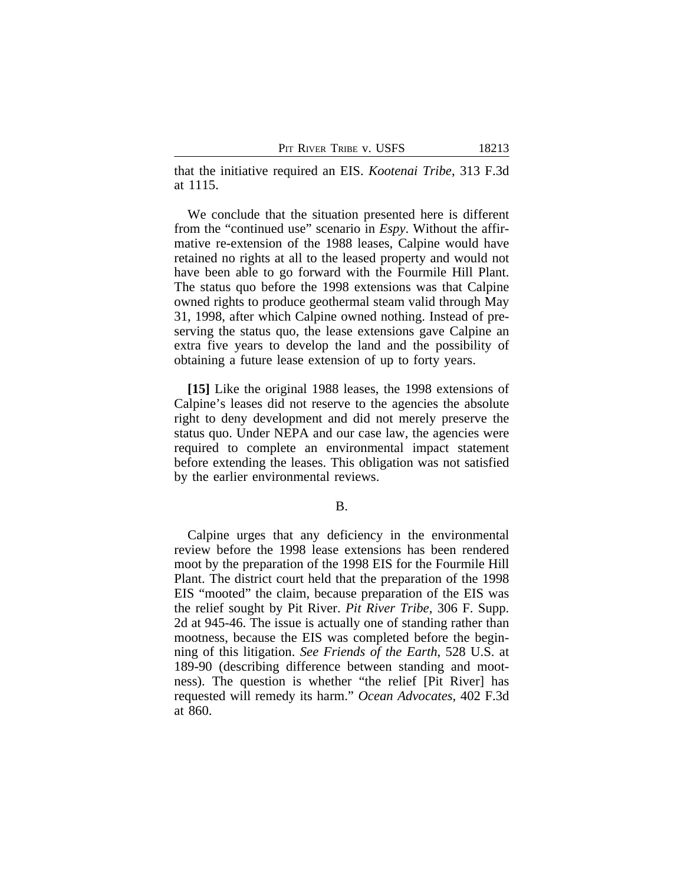that the initiative required an EIS. *Kootenai Tribe*, 313 F.3d at 1115.

We conclude that the situation presented here is different from the "continued use" scenario in *Espy*. Without the affirmative re-extension of the 1988 leases, Calpine would have retained no rights at all to the leased property and would not have been able to go forward with the Fourmile Hill Plant. The status quo before the 1998 extensions was that Calpine owned rights to produce geothermal steam valid through May 31, 1998, after which Calpine owned nothing. Instead of preserving the status quo, the lease extensions gave Calpine an extra five years to develop the land and the possibility of obtaining a future lease extension of up to forty years.

**[15]** Like the original 1988 leases, the 1998 extensions of Calpine's leases did not reserve to the agencies the absolute right to deny development and did not merely preserve the status quo. Under NEPA and our case law, the agencies were required to complete an environmental impact statement before extending the leases. This obligation was not satisfied by the earlier environmental reviews.

### B.

Calpine urges that any deficiency in the environmental review before the 1998 lease extensions has been rendered moot by the preparation of the 1998 EIS for the Fourmile Hill Plant. The district court held that the preparation of the 1998 EIS "mooted" the claim, because preparation of the EIS was the relief sought by Pit River. *Pit River Tribe*, 306 F. Supp. 2d at 945-46. The issue is actually one of standing rather than mootness, because the EIS was completed before the beginning of this litigation. *See Friends of the Earth*, 528 U.S. at 189-90 (describing difference between standing and mootness). The question is whether "the relief [Pit River] has requested will remedy its harm." *Ocean Advocates*, 402 F.3d at 860.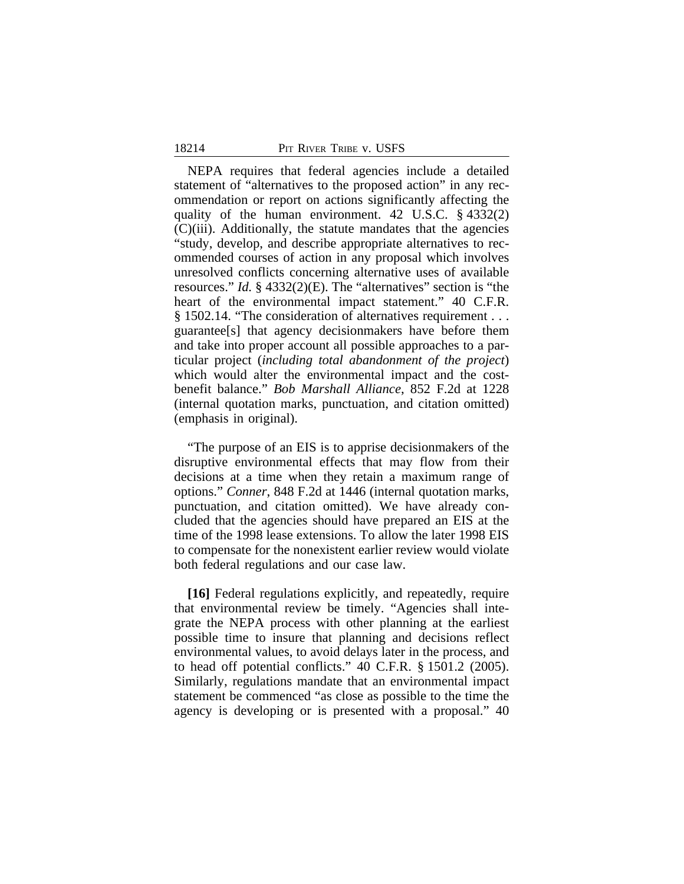NEPA requires that federal agencies include a detailed statement of "alternatives to the proposed action" in any recommendation or report on actions significantly affecting the quality of the human environment. 42 U.S.C. § 4332(2) (C)(iii). Additionally, the statute mandates that the agencies "study, develop, and describe appropriate alternatives to recommended courses of action in any proposal which involves unresolved conflicts concerning alternative uses of available resources." *Id.* § 4332(2)(E). The "alternatives" section is "the heart of the environmental impact statement." 40 C.F.R. § 1502.14. "The consideration of alternatives requirement . . . guarantee[s] that agency decisionmakers have before them and take into proper account all possible approaches to a particular project (*including total abandonment of the project*) which would alter the environmental impact and the costbenefit balance." *Bob Marshall Alliance*, 852 F.2d at 1228 (internal quotation marks, punctuation, and citation omitted) (emphasis in original).

"The purpose of an EIS is to apprise decisionmakers of the disruptive environmental effects that may flow from their decisions at a time when they retain a maximum range of options." *Conner*, 848 F.2d at 1446 (internal quotation marks, punctuation, and citation omitted). We have already concluded that the agencies should have prepared an EIS at the time of the 1998 lease extensions. To allow the later 1998 EIS to compensate for the nonexistent earlier review would violate both federal regulations and our case law.

**[16]** Federal regulations explicitly, and repeatedly, require that environmental review be timely. "Agencies shall integrate the NEPA process with other planning at the earliest possible time to insure that planning and decisions reflect environmental values, to avoid delays later in the process, and to head off potential conflicts." 40 C.F.R. § 1501.2 (2005). Similarly, regulations mandate that an environmental impact statement be commenced "as close as possible to the time the agency is developing or is presented with a proposal." 40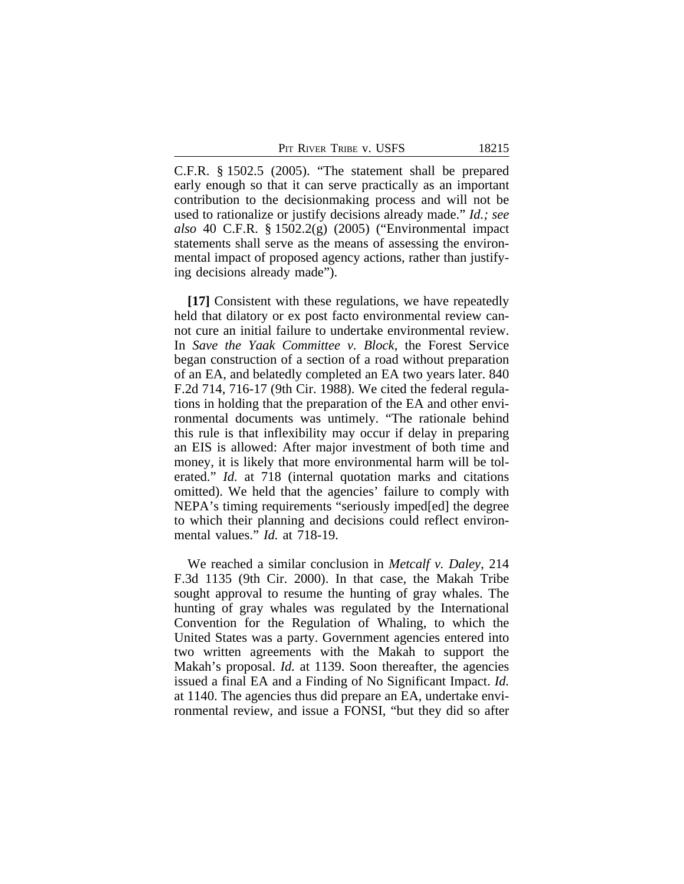PIT RIVER TRIBE V. USFS 18215

C.F.R. § 1502.5 (2005). "The statement shall be prepared early enough so that it can serve practically as an important contribution to the decisionmaking process and will not be used to rationalize or justify decisions already made." *Id.; see also* 40 C.F.R. § 1502.2(g) (2005) ("Environmental impact statements shall serve as the means of assessing the environmental impact of proposed agency actions, rather than justifying decisions already made").

**[17]** Consistent with these regulations, we have repeatedly held that dilatory or ex post facto environmental review cannot cure an initial failure to undertake environmental review. In *Save the Yaak Committee v. Block*, the Forest Service began construction of a section of a road without preparation of an EA, and belatedly completed an EA two years later. 840 F.2d 714, 716-17 (9th Cir. 1988). We cited the federal regulations in holding that the preparation of the EA and other environmental documents was untimely. "The rationale behind this rule is that inflexibility may occur if delay in preparing an EIS is allowed: After major investment of both time and money, it is likely that more environmental harm will be tolerated." *Id.* at 718 (internal quotation marks and citations omitted). We held that the agencies' failure to comply with NEPA's timing requirements "seriously imped[ed] the degree to which their planning and decisions could reflect environmental values." *Id.* at 718-19.

We reached a similar conclusion in *Metcalf v. Daley*, 214 F.3d 1135 (9th Cir. 2000). In that case, the Makah Tribe sought approval to resume the hunting of gray whales. The hunting of gray whales was regulated by the International Convention for the Regulation of Whaling, to which the United States was a party. Government agencies entered into two written agreements with the Makah to support the Makah's proposal. *Id.* at 1139. Soon thereafter, the agencies issued a final EA and a Finding of No Significant Impact. *Id.* at 1140. The agencies thus did prepare an EA, undertake environmental review, and issue a FONSI, "but they did so after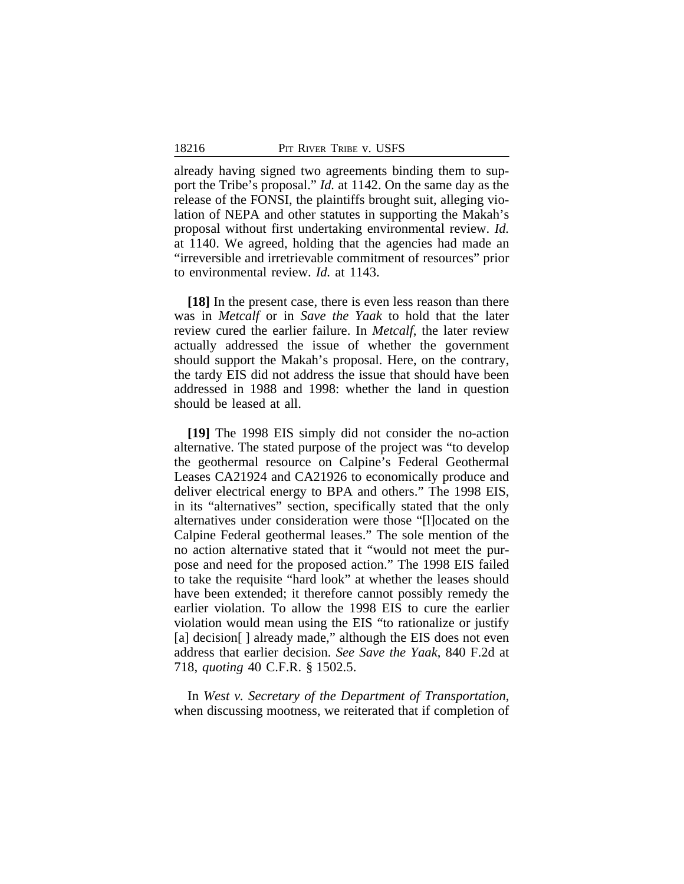already having signed two agreements binding them to support the Tribe's proposal." *Id.* at 1142. On the same day as the release of the FONSI, the plaintiffs brought suit, alleging violation of NEPA and other statutes in supporting the Makah's proposal without first undertaking environmental review. *Id.* at 1140. We agreed, holding that the agencies had made an "irreversible and irretrievable commitment of resources" prior to environmental review. *Id.* at 1143.

**[18]** In the present case, there is even less reason than there was in *Metcalf* or in *Save the Yaak* to hold that the later review cured the earlier failure. In *Metcalf*, the later review actually addressed the issue of whether the government should support the Makah's proposal. Here, on the contrary, the tardy EIS did not address the issue that should have been addressed in 1988 and 1998: whether the land in question should be leased at all.

**[19]** The 1998 EIS simply did not consider the no-action alternative. The stated purpose of the project was "to develop the geothermal resource on Calpine's Federal Geothermal Leases CA21924 and CA21926 to economically produce and deliver electrical energy to BPA and others." The 1998 EIS, in its "alternatives" section, specifically stated that the only alternatives under consideration were those "[l]ocated on the Calpine Federal geothermal leases." The sole mention of the no action alternative stated that it "would not meet the purpose and need for the proposed action." The 1998 EIS failed to take the requisite "hard look" at whether the leases should have been extended; it therefore cannot possibly remedy the earlier violation. To allow the 1998 EIS to cure the earlier violation would mean using the EIS "to rationalize or justify [a] decision[] already made," although the EIS does not even address that earlier decision. *See Save the Yaak*, 840 F.2d at 718, *quoting* 40 C.F.R. § 1502.5.

In *West v. Secretary of the Department of Transportation*, when discussing mootness, we reiterated that if completion of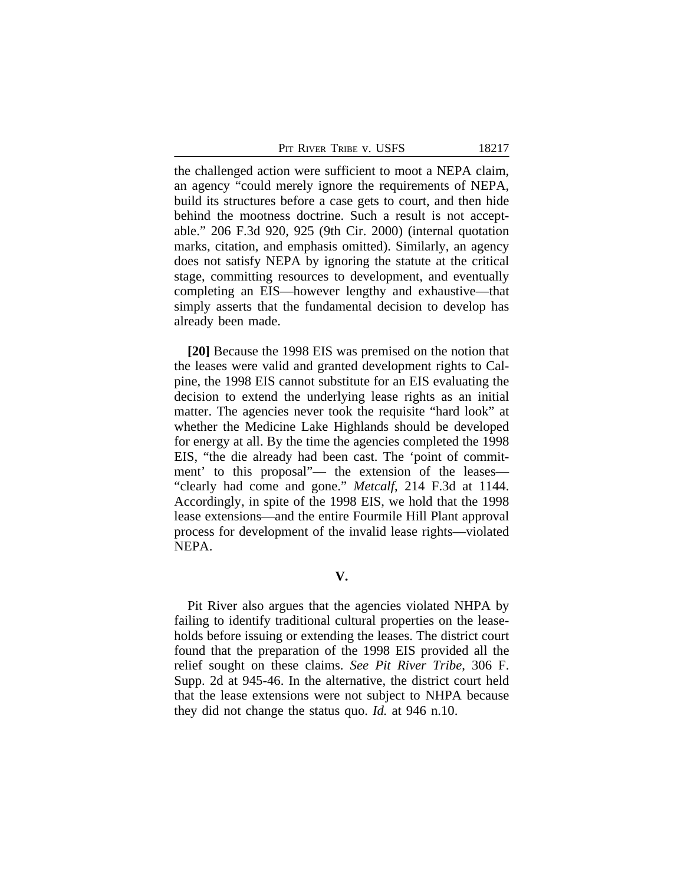PIT RIVER TRIBE V. USFS 18217

the challenged action were sufficient to moot a NEPA claim, an agency "could merely ignore the requirements of NEPA, build its structures before a case gets to court, and then hide behind the mootness doctrine. Such a result is not acceptable." 206 F.3d 920, 925 (9th Cir. 2000) (internal quotation marks, citation, and emphasis omitted). Similarly, an agency does not satisfy NEPA by ignoring the statute at the critical stage, committing resources to development, and eventually completing an EIS—however lengthy and exhaustive—that simply asserts that the fundamental decision to develop has already been made.

**[20]** Because the 1998 EIS was premised on the notion that the leases were valid and granted development rights to Calpine, the 1998 EIS cannot substitute for an EIS evaluating the decision to extend the underlying lease rights as an initial matter. The agencies never took the requisite "hard look" at whether the Medicine Lake Highlands should be developed for energy at all. By the time the agencies completed the 1998 EIS, "the die already had been cast. The 'point of commitment' to this proposal"— the extension of the leases— "clearly had come and gone." *Metcalf*, 214 F.3d at 1144. Accordingly, in spite of the 1998 EIS, we hold that the 1998 lease extensions—and the entire Fourmile Hill Plant approval process for development of the invalid lease rights—violated NEPA.

**V.**

Pit River also argues that the agencies violated NHPA by failing to identify traditional cultural properties on the leaseholds before issuing or extending the leases. The district court found that the preparation of the 1998 EIS provided all the relief sought on these claims. *See Pit River Tribe*, 306 F. Supp. 2d at 945-46. In the alternative, the district court held that the lease extensions were not subject to NHPA because they did not change the status quo. *Id.* at 946 n.10.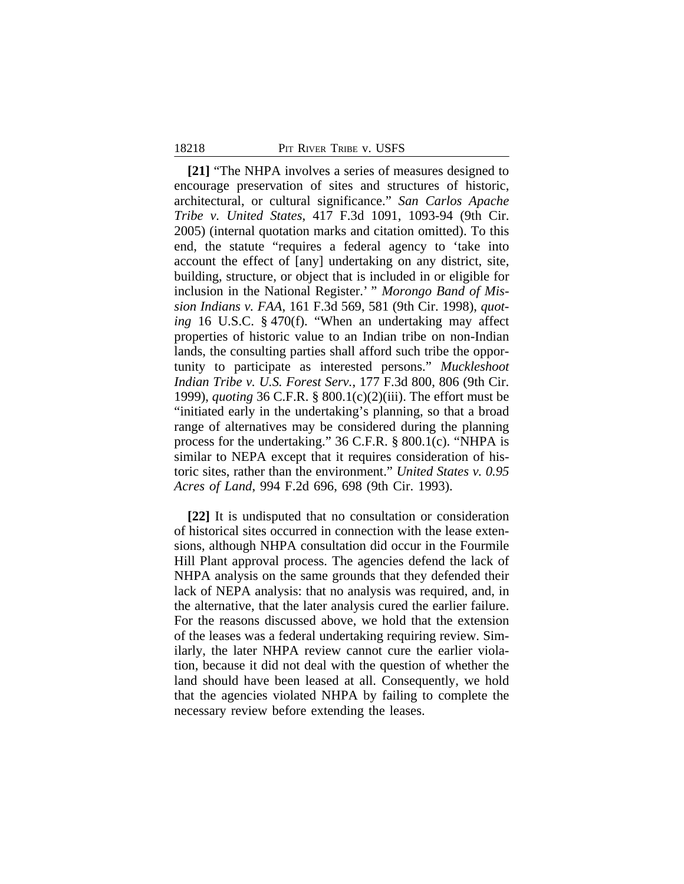#### 18218 PIT RIVER TRIBE V. USFS

**[21]** "The NHPA involves a series of measures designed to encourage preservation of sites and structures of historic, architectural, or cultural significance." *San Carlos Apache Tribe v. United States*, 417 F.3d 1091, 1093-94 (9th Cir. 2005) (internal quotation marks and citation omitted). To this end, the statute "requires a federal agency to 'take into account the effect of [any] undertaking on any district, site, building, structure, or object that is included in or eligible for inclusion in the National Register.' " *Morongo Band of Mission Indians v. FAA*, 161 F.3d 569, 581 (9th Cir. 1998), *quoting* 16 U.S.C. § 470(f). "When an undertaking may affect properties of historic value to an Indian tribe on non-Indian lands, the consulting parties shall afford such tribe the opportunity to participate as interested persons." *Muckleshoot Indian Tribe v. U.S. Forest Serv.*, 177 F.3d 800, 806 (9th Cir. 1999), *quoting* 36 C.F.R. § 800.1(c)(2)(iii). The effort must be "initiated early in the undertaking's planning, so that a broad range of alternatives may be considered during the planning process for the undertaking." 36 C.F.R. § 800.1(c). "NHPA is similar to NEPA except that it requires consideration of historic sites, rather than the environment." *United States v. 0.95 Acres of Land*, 994 F.2d 696, 698 (9th Cir. 1993).

**[22]** It is undisputed that no consultation or consideration of historical sites occurred in connection with the lease extensions, although NHPA consultation did occur in the Fourmile Hill Plant approval process. The agencies defend the lack of NHPA analysis on the same grounds that they defended their lack of NEPA analysis: that no analysis was required, and, in the alternative, that the later analysis cured the earlier failure. For the reasons discussed above, we hold that the extension of the leases was a federal undertaking requiring review. Similarly, the later NHPA review cannot cure the earlier violation, because it did not deal with the question of whether the land should have been leased at all. Consequently, we hold that the agencies violated NHPA by failing to complete the necessary review before extending the leases.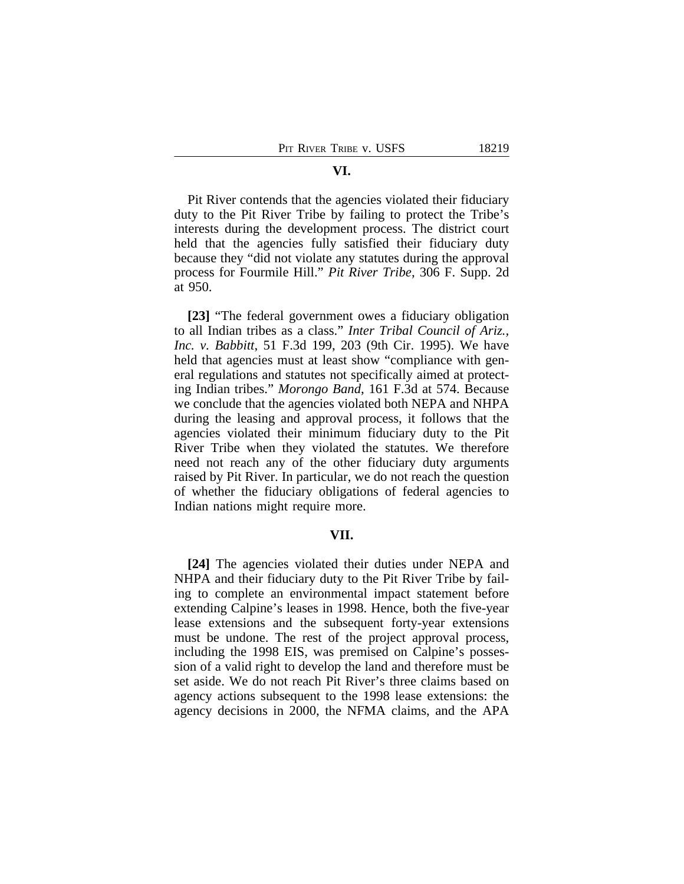# Pit River contends that the agencies violated their fiduciary duty to the Pit River Tribe by failing to protect the Tribe's interests during the development process. The district court held that the agencies fully satisfied their fiduciary duty because they "did not violate any statutes during the approval process for Fourmile Hill." *Pit River Tribe*, 306 F. Supp. 2d at 950.

**[23]** "The federal government owes a fiduciary obligation to all Indian tribes as a class." *Inter Tribal Council of Ariz., Inc. v. Babbitt*, 51 F.3d 199, 203 (9th Cir. 1995). We have held that agencies must at least show "compliance with general regulations and statutes not specifically aimed at protecting Indian tribes." *Morongo Band*, 161 F.3d at 574. Because we conclude that the agencies violated both NEPA and NHPA during the leasing and approval process, it follows that the agencies violated their minimum fiduciary duty to the Pit River Tribe when they violated the statutes. We therefore need not reach any of the other fiduciary duty arguments raised by Pit River. In particular, we do not reach the question of whether the fiduciary obligations of federal agencies to Indian nations might require more.

# **VII.**

**[24]** The agencies violated their duties under NEPA and NHPA and their fiduciary duty to the Pit River Tribe by failing to complete an environmental impact statement before extending Calpine's leases in 1998. Hence, both the five-year lease extensions and the subsequent forty-year extensions must be undone. The rest of the project approval process, including the 1998 EIS, was premised on Calpine's possession of a valid right to develop the land and therefore must be set aside. We do not reach Pit River's three claims based on agency actions subsequent to the 1998 lease extensions: the agency decisions in 2000, the NFMA claims, and the APA